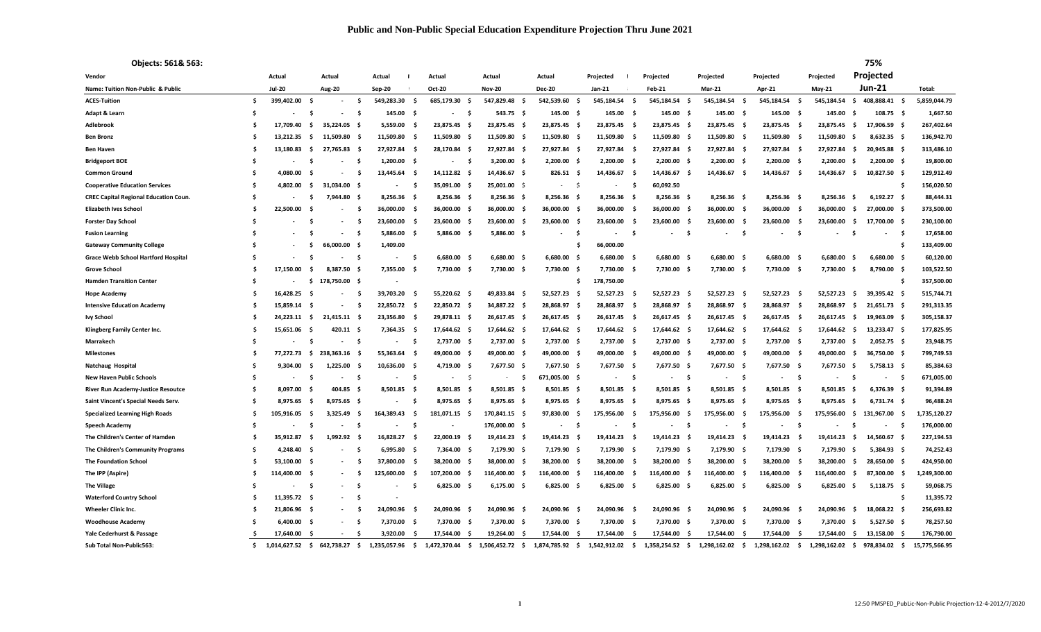| Objects: 561& 563:                           |     |                |      |                          |      |                |      |               |      |                 |     |                     |      |              |      |               |      |               |      |              |      |               |      | 75%           |      |               |
|----------------------------------------------|-----|----------------|------|--------------------------|------|----------------|------|---------------|------|-----------------|-----|---------------------|------|--------------|------|---------------|------|---------------|------|--------------|------|---------------|------|---------------|------|---------------|
| Vendor                                       |     | Actual         |      | Actual                   |      | Actual         |      | Actual        |      | Actual          |     | Actual              |      | Projected    |      | Projected     |      | Projected     |      | Projected    |      | Projected     |      | Projected     |      |               |
| Name: Tuition Non-Public & Public            |     | <b>Jul-20</b>  |      | Aug-20                   |      | <b>Sep-20</b>  |      | Oct-20        |      | <b>Nov-20</b>   |     | <b>Dec-20</b>       |      | Jan-21       |      | Feb-21        |      | <b>Mar-21</b> |      | Apr-21       |      | <b>May-21</b> |      | <b>Jun-21</b> |      | Total:        |
| <b>ACES-Tuition</b>                          | \$. | 399,402.00     | s.   |                          | - \$ | 549,283.30     | - \$ | 685,179.30    | - Ś  | 547,829.48 \$   |     | 542,539.60          | - \$ | 545,184.54   | - \$ | 545,184.54 \$ |      | 545,184.54 \$ |      | 545,184.54   | - \$ | 545,184.54    | - Ś  | 408,888.41    | - \$ | 5,859,044.79  |
| Adapt & Learn                                | -\$ |                | -S   |                          | -\$  | 145.00         | - \$ | $\sim 100$    | -\$  | 543.75 \$       |     | $145.00\frac{1}{2}$ |      | 145.00       | - \$ | 145.00 \$     |      | 145.00 \$     |      | 145.00 \$    |      | 145.00        | - Ś  | $108.75$ \$   |      | 1,667.50      |
| Adlebrook                                    |     | 17,709.40      | -S   | 35,224.05                | - S  | 5,559.00       |      | 23,875.45     |      | 23,875.45 \$    |     | 23,875.45           | - \$ | 23,875.45    | S.   | 23,875.45 \$  |      | 23,875.45 \$  |      | 23,875.45    | - \$ | 23,875.45     | - S  | 17,906.59     |      | 267,402.64    |
| <b>Ben Bronz</b>                             | .S  | 13.212.35      | - Ś  | 11.509.80 S              |      | 11,509.80      | S    | 11,509.80     | - Ś  | 11,509.80 \$    |     | 11,509.80           | - \$ | 11,509.80    | - S  | 11,509.80     | - S  | 11,509.80 \$  |      | 11,509.80    | - \$ | 11,509.80     | - Ś  | $8,632.35$ \$ |      | 136,942.70    |
| <b>Ben Haven</b>                             | .S  | 13.180.83      | - Ś  | 27,765.83                | - \$ | 27,927.84      | - \$ | 28,170.84     | - S  | 27,927.84 \$    |     | 27,927.84 \$        |      | 27,927.84    | - S  | 27,927.84 \$  |      | 27,927.84 \$  |      | 27,927.84    | - \$ | 27,927.84     | - S  | 20,945.88 \$  |      | 313,486.10    |
| <b>Bridgeport BOE</b>                        | Ś   |                | Ŝ.   |                          | −\$  | 1,200.00       | Ś    | $\sim$        | - S  | 3,200.00 \$     |     | 2,200.00            | s    | 2,200.00     | s    | 2,200.00      | s    | 2,200.00      | s    | 2,200.00     | - \$ | 2,200.00      | - S  | 2,200.00      | - s  | 19,800.00     |
| <b>Common Ground</b>                         | Ś   | 4,080.00       | - Ś  |                          | Ś    | 13,445.64      | S    | 14,112.82     | - \$ | 14,436.67 \$    |     | $826.51$ \$         |      | 14,436.67    | - S  | 14,436.67     | - \$ | 14,436.67 \$  |      | 14,436.67    | - \$ | 14,436.67     | -\$  | 10,827.50     | - S  | 129,912.49    |
| <b>Cooperative Education Services</b>        | Ś   | 4,802.00       | s.   | 31,034.00                | - S  | ٠              | - Ś  | 35,091.00     | - Ś  | 25,001.00 \$    |     | $\sim$              | - Ś  | $\sim$       | - S  | 60,092.50     |      |               |      |              |      |               |      |               | .s   | 156,020.50    |
| <b>CREC Capital Regional Education Coun.</b> | -\$ |                | -S   | 7,944.80                 | - S  | 8,256.36       | - S  | $8,256.36$ \$ |      | $8,256.36$ \$   |     | 8,256.36            | - \$ | 8,256.36     | - s  | $8,256.36$ \$ |      | 8,256.36 \$   |      | 8,256.36 \$  |      | 8,256.36      | Ŝ.   | 6,192.27      | - \$ | 88,444.31     |
| <b>Elizabeth Ives School</b>                 | \$. | 22,500.00      | - S  |                          | - \$ | 36,000.00      | - \$ | 36,000.00     | - \$ | 36,000.00 \$    |     | 36,000.00           | - \$ | 36,000.00    | - Ś  | 36,000.00     | - \$ | 36,000.00     | - \$ | 36,000.00    | - \$ | 36,000.00     | - Ś  | 27,000.00     | - \$ | 373,500.00    |
| <b>Forster Day School</b>                    | Ś   |                | -S   | $\blacksquare$           | -\$  | 23,600.00      | - \$ | 23,600.00     | - \$ | 23,600.00 \$    |     | 23,600.00           | - S  | 23,600.00    | - S  | 23,600.00     | - \$ | 23,600.00     | - \$ | 23,600.00    | - \$ | 23,600.00     | - S  | 17,700.00     | - \$ | 230,100.00    |
| <b>Fusion Learning</b>                       | Ś   |                | -S   |                          | −\$  | 5,886.00       | - S  | 5,886.00      | - S  | 5,886.00 \$     |     |                     | ۰Ś   |              | -S   |               | S    |               | S    |              | - Ś  |               |      |               | -S   | 17,658.00     |
| <b>Gateway Community College</b>             | \$. |                | -S   | 66,000.00                | - \$ | 1,409.00       |      |               |      |                 |     |                     | Ŝ    | 66,000.00    |      |               |      |               |      |              |      |               |      |               | S    | 133,409.00    |
| <b>Grace Webb School Hartford Hospital</b>   | Ś   |                | -S   |                          | - S  | $\blacksquare$ | - S  | 6,680.00      |      | $6,680.00$ \$   |     | 6,680.00            | - \$ | 6,680.00     | - 9  | $6,680.00$ \$ |      | 6,680.00      | - S  | 6,680.00     | - \$ | 6,680.00      |      | 6,680.00      | - 5  | 60,120.00     |
| <b>Grove School</b>                          | Ś.  | 17,150.00      | - \$ | 8.387.50                 | - \$ | 7,355.00       | -\$  | 7,730.00 \$   |      | 7,730.00 \$     |     | 7,730.00 \$         |      | 7,730.00 \$  |      | 7,730.00 \$   |      | 7,730.00 \$   |      | 7,730.00 \$  |      | 7,730.00      | - Ś  | 8,790.00      | - S  | 103,522.50    |
| <b>Hamden Transition Center</b>              | Ś   |                | s.   | 178,750.00 \$            |      |                |      |               |      |                 |     |                     | \$   | 178,750.00   |      |               |      |               |      |              |      |               |      |               | Ŝ    | 357,500.00    |
| <b>Hope Academy</b>                          | S   | 16,428.25      | - Ś  | ٠                        | - \$ | 39,703.20      | Ś    | 55,220.62     | - \$ | 49,833.84       | - s | 52,527.23           | S    | 52,527.23    | - S  | 52,527.23     | - S  | 52,527.23     | - \$ | 52,527.23    | - \$ | 52,527.23     | -\$  | 39,395.42 \$  |      | 515,744.71    |
| <b>Intensive Education Academy</b>           | .\$ | 15,859.14      | - S  |                          | - \$ | 22,850.72      | - \$ | 22,850.72 \$  |      | 34,887.22 \$    |     | 28,868.97           | - \$ | 28,868.97    | - S  | 28,868.97 \$  |      | 28,868.97 \$  |      | 28,868.97    | - \$ | 28,868.97     | - S  | 21,651.73 \$  |      | 291,313.35    |
| <b>Ivy School</b>                            | .\$ | $24,223.11$ \$ |      | $21,415.11$ \$           |      | 23,356.80      | - \$ | 29,878.11 \$  |      | 26,617.45 \$    |     | 26,617.45 \$        |      | 26,617.45    | S    | 26,617.45 \$  |      | 26,617.45 \$  |      | 26,617.45 \$ |      | 26,617.45     | -\$  | 19,963.09 \$  |      | 305,158.37    |
| Klingberg Family Center Inc.                 | S   | 15,651.06      |      | 420.11 \$                |      | 7,364.35       | - \$ | 17,644.62 \$  |      | 17,644.62 \$    |     | 17,644.62 \$        |      | 17,644.62 \$ |      | 17,644.62 \$  |      | 17,644.62 \$  |      | 17,644.62 \$ |      | 17,644.62     | - \$ | 13,233.47 \$  |      | 177,825.95    |
| Marrakech                                    | -S  |                | -S   |                          | - Ś  |                | -\$  | 2,737.00 \$   |      | 2,737.00 \$     |     | 2,737.00 \$         |      | 2,737.00 \$  |      | 2,737.00 \$   |      | 2,737.00 \$   |      | 2,737.00 \$  |      | 2,737.00      | - Ś  | 2,052.75 \$   |      | 23,948.75     |
| <b>Milestones</b>                            | Ś.  | 77.272.73      | s.   | 238.363.16               | - s  | 55,363.64      | - \$ | 49,000.00     | - S  | 49,000.00 \$    |     | 49,000.00           | s    | 49,000.00    | s    | 49,000.00 \$  |      | 49,000.00 \$  |      | 49,000.00 \$ |      | 49,000.00     | -\$  | 36,750.00 \$  |      | 799,749.53    |
| <b>Natchaug Hospital</b>                     | Ś   | 9,304.00       | -S   | 1,225.00                 | S    | 10,636.00      | - S  | 4,719.00      | - Ś  | 7,677.50 \$     |     | 7,677.50            | - \$ | 7,677.50     | - s  | 7,677.50      | - \$ | 7,677.50 \$   |      | 7,677.50     | - \$ | 7,677.50      | - Ś  | $5,758.13$ \$ |      | 85,384.63     |
| <b>New Haven Public Schools</b>              | -\$ |                | -S   |                          | - S  |                | -\$  |               | - Ś  |                 | - Ś | 671,005.00 \$       |      |              | -S   |               | S    |               | - \$ |              | - \$ |               |      |               | - Ś  | 671,005.00    |
| <b>River Run Academy-Justice Resoutce</b>    | Ś   | 8,097.00       | - Ś  | 404.85                   | - \$ | 8,501.85       | - \$ | 8,501.85      | - Ś  | 8,501.85 \$     |     | $8,501.85$ \$       |      | 8,501.85     | - \$ | 8,501.85 \$   |      | $8,501.85$ \$ |      | 8,501.85 \$  |      | 8,501.85      | - Ś  | $6,376.39$ \$ |      | 91,394.89     |
| Saint Vincent's Special Needs Serv.          | -\$ | 8,975.65       | - S  | $8,975.65$ \$            |      | ٠              | -\$  | 8,975.65      | - \$ | $8,975.65$ \$   |     | 8,975.65 \$         |      | 8,975.65     | - \$ | 8,975.65 \$   |      | 8,975.65 \$   |      | 8,975.65 \$  |      | 8,975.65      | Ś.   | $6,731.74$ \$ |      | 96,488.24     |
| <b>Specialized Learning High Roads</b>       | \$. | 105,916.05     | - S  | 3,325.49                 | - \$ | 164,389.43     | -\$  | 181,071.15 \$ |      | 170,841.15 \$   |     | 97,830.00           | - \$ | 175,956.00   | -\$  | 175,956.00    | - \$ | 175,956.00    | - \$ | 175,956.00   | - \$ | 175,956.00    | - S  | 131,967.00    | -\$  | 1,735,120.27  |
| <b>Speech Academy</b>                        | Ś   |                | -S   |                          | - S  | ٠              | ۰Ś   |               |      | 176.000.00 \$   |     | $\sim$              | - Ś  |              | -S   |               | - S  |               | S    |              | - Ś  |               |      | $\sim$        | - Ś  | 176,000.00    |
| The Children's Center of Hamden              | S   | 35.912.87      | s.   | 1,992.92                 | - \$ | 16,828.27      | S    | 22,000.19     | - \$ | 19,414.23 \$    |     | 19,414.23           | - \$ | 19,414.23    | - S  | 19,414.23     | - S  | 19,414.23     | - \$ | 19,414.23    | - \$ | 19,414.23     | - S  | 14,560.67     | - \$ | 227,194.53    |
| The Children's Community Programs            | ۰Ś  | 4,248.40       | - \$ |                          | −\$  | 6,995.80       | -\$  | 7,364.00      | - \$ | 7,179.90 \$     |     | 7,179.90 \$         |      | 7,179.90     | - \$ | 7,179.90 \$   |      | 7,179.90 \$   |      | 7,179.90     | - \$ | 7,179.90      | Ś.   | 5,384.93 \$   |      | 74,252.43     |
| <b>The Foundation School</b>                 | S   | 53,100.00 \$   |      | $\sim$                   | Ś    | 37,800.00      | - \$ | 38,200.00     | - S  | 38,000.00 \$    |     | 38,200.00           | - \$ | 38,200.00    | - S  | 38,200.00 \$  |      | 38,200.00 \$  |      | 38,200.00    | - \$ | 38,200.00     | -\$  | 28,650.00     | - S  | 424,950.00    |
| The IPP (Aspire)                             | Ś.  | 114,400.00 \$  |      | $\sim$                   | - \$ | 125,600.00     | - \$ | 107,200.00    | - Ś  | 116,400.00 \$   |     | 116,400.00          | - \$ | 116,400.00   | S    | 116,400.00 \$ |      | 116,400.00    | - \$ | 116,400.00   | - \$ | 116,400.00    | - S  | 87,300.00 \$  |      | 1,249,300.00  |
| <b>The Village</b>                           | -\$ |                | \$   | $\sim$                   | - \$ |                | -\$  | 6,825.00      | - \$ | $6,175.00$ \$   |     | 6,825.00            | - \$ | 6,825.00     | - \$ | $6,825.00$ \$ |      | $6,825.00$ \$ |      | 6,825.00     | - \$ | 6,825.00      | -\$  | $5,118.75$ \$ |      | 59,068.75     |
| <b>Waterford Country School</b>              | .s  | 11,395.72 \$   |      | $\overline{\phantom{a}}$ | −\$  |                |      |               |      |                 |     |                     |      |              |      |               |      |               |      |              |      |               |      |               | -S   | 11,395.72     |
| Wheeler Clinic Inc.                          | .s  | 21.806.96 \$   |      |                          | - \$ | 24.090.96      | Ś    | 24.090.96     | - Ś  | 24,090.96 \$    |     | 24,090.96           | - \$ | 24,090.96    | - S  | 24.090.96     | - 9  | 24,090.96     | S    | 24.090.96    | - \$ | 24.090.96     | - S  | 18.068.22 \$  |      | 256,693.82    |
| <b>Woodhouse Academy</b>                     | S   | $6.400.00$ \$  |      | $\sim$                   | −\$  | 7,370.00       | - \$ | 7,370.00      | - S  | 7,370.00 \$     |     | 7,370.00 \$         |      | 7,370.00     | - 9  | 7,370.00 \$   |      | 7,370.00 \$   |      | 7,370.00     | - S  | 7,370.00      | -S   | $5,527.50$ \$ |      | 78,257.50     |
| Yale Cederhurst & Passage                    | -S  | 17,640.00      | - Ś  | $\sim$                   | s.   | 3,920.00       | S    | 17,544.00     | - Ś  | 19,264.00       | - S | 17,544.00           | - S  | 17,544.00    | - S  | 17,544.00     | - Ś  | 17,544.00     | - 5  | 17,544.00    | - \$ | 17,544.00     | -\$  | 13,158.00 \$  |      | 176,790.00    |
| Sub Total Non-Public563:                     | Ŝ.  | 1.014.627.52   | Ŝ.   | 642,738.27               | s.   | 1.235.057.96   | - \$ | 1.472.370.44  | \$   | 1,506,452.72 \$ |     | 1,874,785.92        | - \$ | 1,542,912.02 | - \$ | 1,358,254.52  | - \$ | 1,298,162.02  | \$   | 1.298.162.02 | - \$ | 1.298.162.02  | s.   | 978.834.02    | \$   | 15,775,566.95 |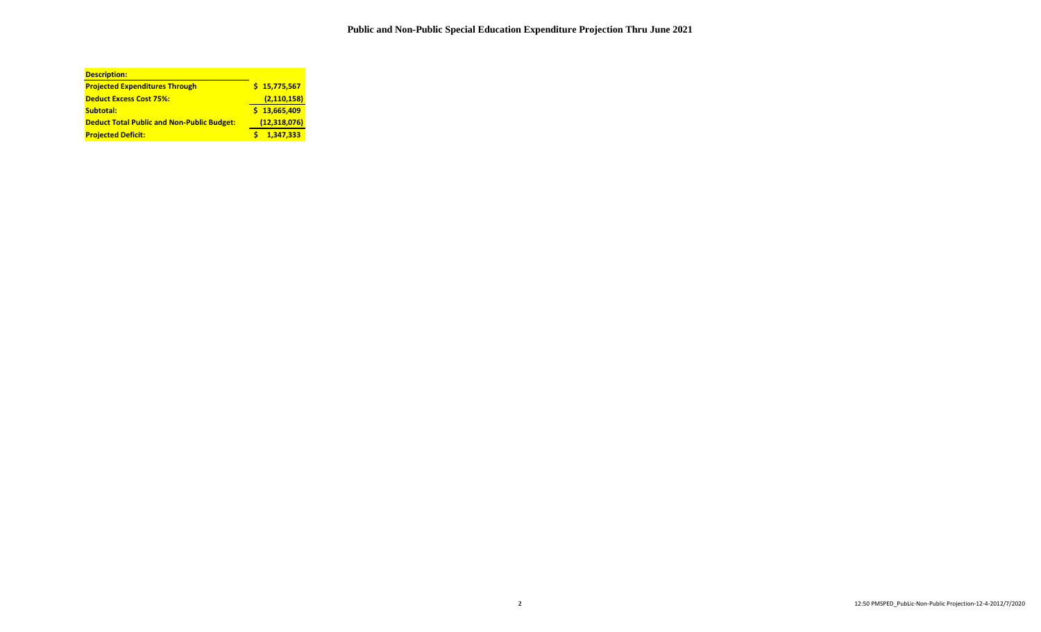| <b>Description:</b>                               |                |
|---------------------------------------------------|----------------|
| <b>Projected Expenditures Through</b>             | \$15,775,567   |
| <b>Deduct Excess Cost 75%:</b>                    | (2, 110, 158)  |
| Subtotal:                                         | \$13,665,409   |
| <b>Deduct Total Public and Non-Public Budget:</b> | (12, 318, 076) |
| <b>Projected Deficit:</b>                         | 1.347.333      |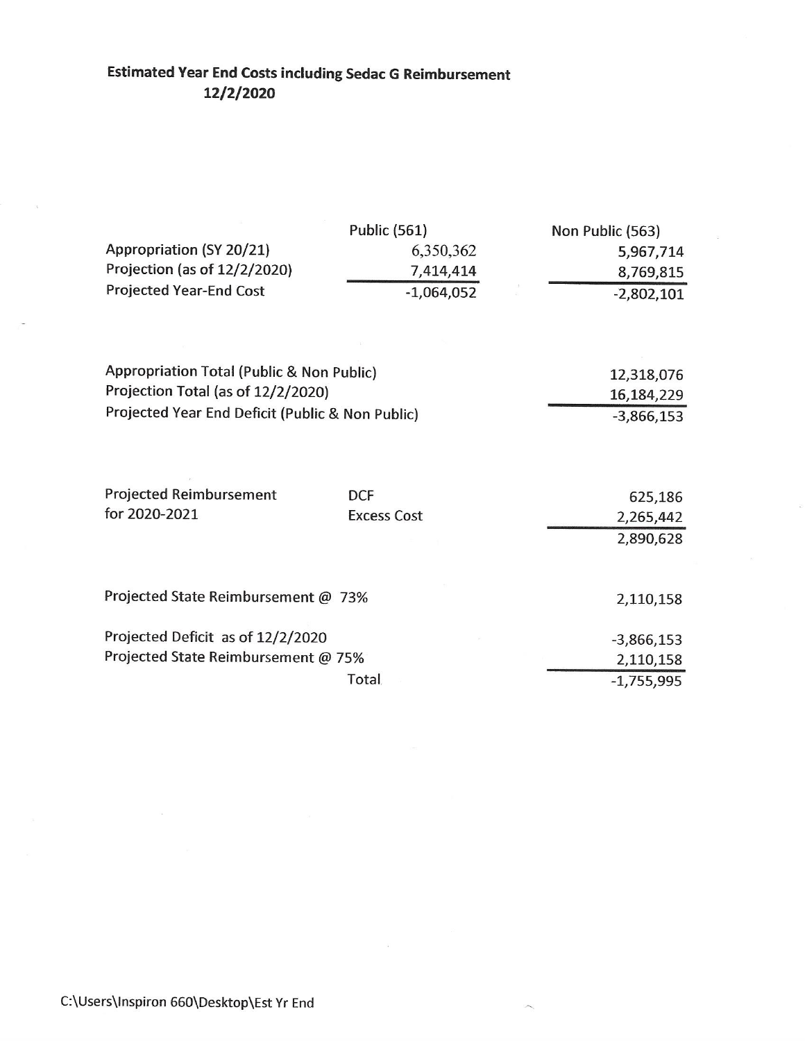## **Estimated Year End Costs including Sedac G Reimbursement** 12/2/2020

|                                                  | <b>Public (561)</b> | Non Public (563) |
|--------------------------------------------------|---------------------|------------------|
| Appropriation (SY 20/21)                         | 6,350,362           | 5,967,714        |
| Projection (as of 12/2/2020)                     | 7,414,414           | 8,769,815        |
| <b>Projected Year-End Cost</b>                   | $-1,064,052$        | $-2,802,101$     |
|                                                  |                     |                  |
| Appropriation Total (Public & Non Public)        |                     | 12,318,076       |
| Projection Total (as of 12/2/2020)               |                     | 16,184,229       |
| Projected Year End Deficit (Public & Non Public) |                     | $-3,866,153$     |
|                                                  |                     |                  |
| <b>Projected Reimbursement</b>                   | <b>DCF</b>          | 625,186          |
| for 2020-2021                                    | <b>Excess Cost</b>  | 2,265,442        |
|                                                  |                     | 2,890,628        |
| Projected State Reimbursement @ 73%              |                     | 2,110,158        |
| Projected Deficit as of 12/2/2020                |                     |                  |
| Projected State Reimbursement @ 75%              |                     | $-3,866,153$     |
|                                                  |                     | 2,110,158        |
|                                                  | Total               | $-1,755,995$     |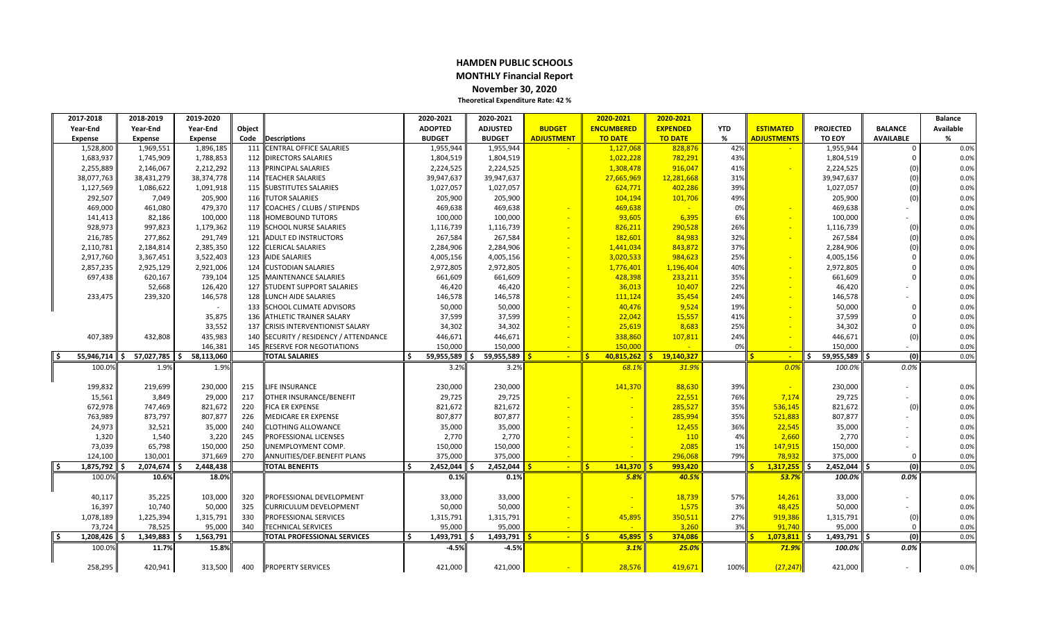### **HAMDEN PUBLIC SCHOOLS MONTHLY Financial Report November 30, 2020 Theoretical Expenditure Rate: 42 %**

| 2017-2018        | 2018-2019         | 2019-2020         |        |                                      | 2020-2021      |           | 2020-2021       |                   | 2020-2021           | 2020-2021        |            |                      |                   |                  | <b>Balance</b> |
|------------------|-------------------|-------------------|--------|--------------------------------------|----------------|-----------|-----------------|-------------------|---------------------|------------------|------------|----------------------|-------------------|------------------|----------------|
| Year-End         | Year-End          | Year-End          | Object |                                      | <b>ADOPTED</b> |           | <b>ADJUSTED</b> | <b>BUDGET</b>     | <b>ENCUMBERED</b>   | <b>EXPENDED</b>  | <b>YTD</b> | <b>ESTIMATED</b>     | <b>PROJECTED</b>  | <b>BALANCE</b>   | Available      |
| Expense          | <b>Expense</b>    | Expense           | Code   | <b>Descriptions</b>                  | <b>BUDGET</b>  |           | <b>BUDGET</b>   | <b>ADJUSTMENT</b> | <b>TO DATE</b>      | <b>TO DATE</b>   | %          | <b>ADJUSTMENTS</b>   | <b>TO EOY</b>     | <b>AVAILABLE</b> | $\%$           |
| 1,528,800        | 1,969,551         | 1,896,185         |        | 111 CENTRAL OFFICE SALARIES          |                | 1,955,944 | 1,955,944       |                   | 1,127,068           | 828,876          | 42%        |                      | 1,955,944         | $\Omega$         | 0.0%           |
| 1,683,937        | 1,745,909         | 1,788,853         |        | 112 DIRECTORS SALARIES               |                | 1,804,519 | 1,804,519       |                   | 1,022,228           | 782,291          | 43%        |                      | 1,804,519         | $\mathbf 0$      | 0.0%           |
| 2,255,889        | 2,146,067         | 2,212,292         |        | <b>113 PRINCIPAL SALARIES</b>        |                | 2,224,525 | 2,224,525       |                   | 1,308,478           | 916,047          | 41%        |                      | 2,224,525         | (0)              | 0.0%           |
| 38,077,763       | 38,431,279        | 38,374,778        |        | 114 TEACHER SALARIES                 | 39,947,637     |           | 39,947,637      |                   | 27,665,969          | 12,281,668       | 31%        |                      | 39,947,637        | (0)              | 0.0%           |
| 1,127,569        | 1,086,622         | 1,091,918         |        | 115 SUBSTITUTES SALARIES             |                | 1,027,057 | 1,027,057       |                   | 624,771             | 402,286          | 39%        |                      | 1,027,057         | (0)              | 0.0%           |
| 292,507          | 7,049             | 205,900           |        | <b>116 TUTOR SALARIES</b>            |                | 205,900   | 205,900         |                   | 104,194             | 101,706          | 49%        |                      | 205,900           | (0)              | 0.0%           |
| 469,000          | 461,080           | 479,370           |        | 117 COACHES / CLUBS / STIPENDS       |                | 469,638   | 469,638         |                   | 469,638             |                  | 0%         |                      | 469,638           | $\sim$           | 0.0%           |
| 141,413          | 82,186            | 100,000           |        | 118 HOMEBOUND TUTORS                 |                | 100,000   | 100,000         |                   | 93,605              | 6,395            | 6%         |                      | 100,000           |                  | 0.0%           |
| 928,973          | 997,823           | 1,179,362         |        | <b>119 SCHOOL NURSE SALARIES</b>     |                | 1,116,739 | 1,116,739       |                   | 826,211             | 290,528          | 26%        |                      | 1,116,739         | (0)              | 0.0%           |
| 216,785          | 277,862           | 291,749           |        | 121 ADULT ED INSTRUCTORS             |                | 267,584   | 267,584         |                   | 182,601             | 84,983           | 32%        |                      | 267,584           | (0)              | 0.0%           |
| 2,110,781        | 2,184,814         | 2,385,350         |        | 122 CLERICAL SALARIES                |                | 2,284,906 | 2,284,906       |                   | 1,441,034           | 843,872          | 37%        |                      | 2,284,906         | (0)              | 0.0%           |
| 2,917,760        | 3,367,451         | 3,522,403         |        | <b>123 AIDE SALARIES</b>             |                | 4,005,156 | 4,005,156       |                   | 3,020,533           | 984,623          | 25%        |                      | 4,005,156         | $\Omega$         | 0.0%           |
| 2,857,235        | 2,925,129         | 2,921,006         |        | 124 CUSTODIAN SALARIES               |                | 2,972,805 | 2,972,805       |                   | 1,776,401           | 1,196,404        | 40%        |                      | 2,972,805         | $\mathbf 0$      | 0.0%           |
| 697,438          | 620,167           | 739,104           |        | 125 MAINTENANCE SALARIES             |                | 661,609   | 661,609         |                   | 428,398             | 233,211          | 35%        |                      | 661,609           | $\Omega$         | 0.0%           |
|                  | 52,668            | 126,420           |        | 127 STUDENT SUPPORT SALARIES         |                | 46,420    | 46,420          |                   | 36,013              | 10,407           | 22%        |                      | 46,420            |                  | 0.0%           |
| 233,475          | 239,320           | 146,578           |        | 128 LUNCH AIDE SALARIES              |                | 146,578   | 146,578         |                   | 111,124             | 35,454           | 24%        |                      | 146,578           |                  | 0.0%           |
|                  |                   |                   |        | 133 SCHOOL CLIMATE ADVISORS          |                | 50,000    | 50,000          |                   | 40,476              | 9,524            | 19%        |                      | 50,000            | $\mathbf 0$      | 0.0%           |
|                  |                   | 35,875            |        | 136 ATHLETIC TRAINER SALARY          |                | 37,599    | 37,599          |                   | 22,042              | 15,557           | 41%        |                      | 37,599            | $\Omega$         | 0.0%           |
|                  |                   | 33,552            | 137    | <b>CRISIS INTERVENTIONIST SALARY</b> |                | 34,302    | 34,302          |                   | 25,619              | 8,683            | 25%        |                      | 34,302            | $\Omega$         | 0.0%           |
| 407,389          | 432,808           | 435,983           | 140    | SECURITY / RESIDENCY / ATTENDANCE    |                | 446,671   | 446,671         |                   | 338,860             | 107,811          | 24%        |                      | 446,671           | (0)              | 0.0%           |
|                  |                   | 146,381           |        | 145 RESERVE FOR NEGOTIATIONS         |                | 150,000   | 150,000         |                   | 150.000             |                  | 0%         |                      | 150,000           |                  | 0.0%           |
| 55,946,714       | 57,027,785<br>\$. | 58,113,060<br>Ŝ.  |        | <b>TOTAL SALARIES</b>                | 59,955,589     |           | 59,955,589      | $\sim$            | ll \$<br>40,815,262 | 19,140,327<br>Ŝ. |            | $\sim$               | l\$<br>59,955,589 | (0)              | 0.0%           |
| 100.0%           | 1.9%              | 1.9%              |        |                                      |                | 3.2%      | 3.2%            |                   | 68.1%               | 31.9%            |            | 0.0%                 | 100.0%            | 0.0%             |                |
|                  |                   |                   |        |                                      |                |           |                 |                   |                     |                  |            |                      |                   |                  |                |
| 199,832          | 219,699           | 230,000           | 215    | <b>LIFE INSURANCE</b>                |                | 230,000   | 230,000         |                   | 141,370             | 88,630           | 39%        |                      | 230,000           | ×.               | 0.0%           |
| 15,561           | 3,849             | 29,000            | 217    | OTHER INSURANCE/BENEFIT              |                | 29,725    | 29,725          |                   |                     | 22,551           | 76%        | 7,174                | 29,725            |                  | 0.0%           |
| 672,978          | 747,469           | 821,672           | 220    | <b>FICA ER EXPENSE</b>               |                | 821,672   | 821,672         |                   |                     | 285,527          | 35%        | 536,145              | 821,672           | (0)              | 0.0%           |
| 763,989          | 873,797           | 807,877           | 226    | <b>MEDICARE ER EXPENSE</b>           |                | 807,877   | 807,877         |                   |                     | 285,994          | 35%        | 521,883              | 807,877           |                  | 0.0%           |
| 24,973           | 32,521            | 35,000            | 240    | <b>CLOTHING ALLOWANCE</b>            |                | 35,000    | 35,000          |                   |                     | 12,455           | 36%        | 22,545               | 35,000            |                  | 0.0%           |
| 1,320            | 1,540             | 3,220             | 245    | <b>PROFESSIONAL LICENSES</b>         |                | 2,770     | 2,770           |                   |                     | 110              | 4%         | 2,660                | 2,770             |                  | 0.0%           |
| 73,039           | 65,798            | 150,000           | 250    | UNEMPLOYMENT COMP.                   |                | 150,000   | 150,000         |                   |                     | 2,085            | 1%         | 147,915              | 150,000           |                  | 0.0%           |
| 124,100          | 130,001           | 371,669           | 270    | ANNUITIES/DEF.BENEFIT PLANS          |                | 375,000   | 375,000         |                   |                     | 296,068          | 79%        | 78.932               | 375,000           | $\Omega$         | 0.0%           |
| 1,875,792        | 2,074,674         | 2,448,438         |        | <b>TOTAL BENEFITS</b>                |                | 2,452,044 | 2,452,044       | $\sim$            | ll s<br>141,370     | 993,420          |            | $1,317,255$ \$       | 2,452,044         | (0)              | 0.0%           |
| 100.0%           | 10.6%             | 18.0%             |        |                                      |                | 0.1%      | 0.1%            |                   | 5.8%                | 40.5%            |            | 53.7%                | 100.0%            | 0.0%             |                |
|                  |                   |                   |        |                                      |                |           |                 |                   |                     |                  |            |                      |                   |                  |                |
| 40,117           | 35,225            | 103,000           | 320    | PROFESSIONAL DEVELOPMENT             |                | 33,000    | 33,000          |                   |                     | 18,739           | 57%        | 14,261               | 33,000            |                  | 0.0%           |
| 16,397           | 10,740            | 50,000            | 325    | <b>CURRICULUM DEVELOPMENT</b>        |                | 50,000    | 50,000          |                   |                     | 1,575            | 3%         | 48,425               | 50,000            |                  | 0.0%           |
| 1,078,189        | 1,225,394         | 1,315,791         | 330    | PROFESSIONAL SERVICES                |                | 1,315,791 | 1,315,791       |                   | 45,895              | 350,511          | 27%        | 919,386              | 1,315,791         | (0)              | 0.0%           |
| 73,724           | 78,525            | 95,000            | 340    | <b>TECHNICAL SERVICES</b>            |                | 95,000    | 95,000          |                   |                     | 3,260            | 3%         | 91,740               | 95,000            | $\Omega$         | 0.0%           |
| ۱\$<br>1,208,426 | 1,349,883<br>\$   | 1,563,791<br>l \$ |        | <b>TOTAL PROFESSIONAL SERVICES</b>   | \$             | 1,493,791 | 1,493,791       | $\sim$            | ll S<br>$45,895$ \$ | 374,086          |            | $1,073,811$ \$<br>-Ś | $1,493,791$ \$    | (0)              | 0.0%           |
| 100.0%           | 11.7%             | 15.8%             |        |                                      |                | $-4.5%$   | $-4.5%$         |                   | 3.1%                | 25.0%            |            | 71.9%                | 100.0%            | 0.0%             |                |
|                  |                   |                   |        |                                      |                |           |                 |                   |                     |                  |            |                      |                   |                  |                |
| 258,295          | 420,941           | 313,500           | 400    | <b>PROPERTY SERVICES</b>             |                | 421,000   | 421,000         |                   | 28,576              | 419,671          | 100%       | (27, 247)            | 421,000           |                  | 0.0%           |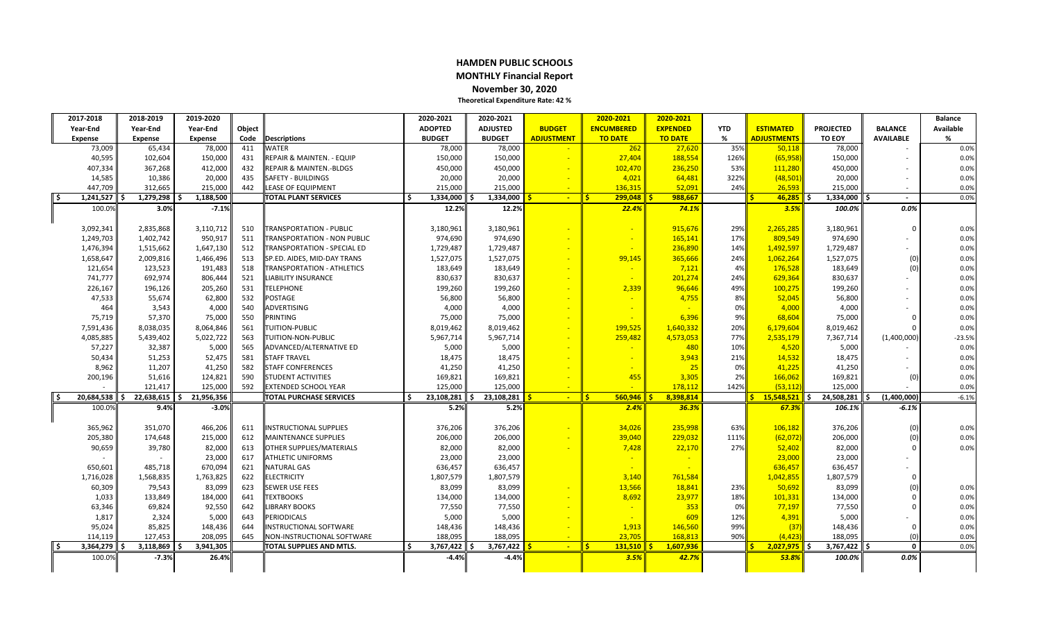### **HAMDEN PUBLIC SCHOOLS MONTHLY Financial Report November 30, 2020 Theoretical Expenditure Rate: 42 %**

| 2017-2018      | 2018-2019         | 2019-2020          |        |                                    | 2020-2021        | 2020-2021       |                   | 2020-2021                | 2020-2021       |            |                       |                   |                   | <b>Balance</b> |
|----------------|-------------------|--------------------|--------|------------------------------------|------------------|-----------------|-------------------|--------------------------|-----------------|------------|-----------------------|-------------------|-------------------|----------------|
| Year-End       | Year-End          | Year-End           | Object |                                    | <b>ADOPTED</b>   | <b>ADJUSTED</b> | <b>BUDGET</b>     | <b>ENCUMBERED</b>        | <b>EXPENDED</b> | <b>YTD</b> | <b>ESTIMATED</b>      | <b>PROJECTED</b>  | <b>BALANCE</b>    | Available      |
| <b>Expense</b> | <b>Expense</b>    | <b>Expense</b>     | Code   | <b>Descriptions</b>                | <b>BUDGET</b>    | <b>BUDGET</b>   | <b>ADJUSTMENT</b> | <b>TO DATE</b>           | <b>TO DATE</b>  | %          | <b>ADJUSTMENTS</b>    | <b>TO EOY</b>     | <b>AVAILABLE</b>  | %              |
| 73,009         | 65,434            | 78,000             | 411    | WATER                              | 78,000           | 78,000          |                   | 262                      | 27,620          | 35%        | 50,118                | 78,000            |                   | 0.0%           |
| 40,595         | 102,604           | 150,000            | 431    | REPAIR & MAINTEN. - EQUIP          | 150,000          | 150,000         |                   | 27,404                   | 188,554         | 126%       | (65, 958)             | 150,000           |                   | 0.0%           |
| 407,334        | 367,268           | 412,000            | 432    | REPAIR & MAINTEN.-BLDGS            | 450,000          | 450,000         |                   | 102,470                  | 236,250         | 53%        | 111,280               | 450,000           |                   | 0.0%           |
| 14,585         | 10,386            | 20,000             | 435    | SAFETY - BUILDINGS                 | 20,000           | 20,000          |                   | 4,021                    | 64,481          | 322%       | (48, 501)             | 20,000            |                   | 0.0%           |
| 447,709        | 312,665           | 215,000            | 442    | LEASE OF EQUIPMENT                 | 215,000          | 215,000         |                   | 136,315                  | 52,091          | 24%        | 26,593                | 215,000           |                   | 0.0%           |
| 1,241,527      | 1,279,298         | 1,188,500<br>- 4   |        | <b>TOTAL PLANT SERVICES</b>        | \$.<br>1,334,000 | 1,334,000       | $\sim$            | ll s<br>299.048          | 988.667         |            | 46.285                | ll S<br>1,334,000 | $\sim$            | 0.0%           |
| 100.0%         | 3.0%              | $-7.1%$            |        |                                    | 12.2%            | 12.2%           |                   | 22.4%                    | 74.1%           |            | 3.5%                  | 100.0%            | $0.0\%$           |                |
|                |                   |                    |        |                                    |                  |                 |                   |                          |                 |            |                       |                   |                   |                |
| 3,092,341      | 2,835,868         | 3,110,712          | 510    | <b>TRANSPORTATION - PUBLIC</b>     | 3,180,961        | 3,180,961       |                   |                          | 915,676         | 29%        | 2,265,285             | 3,180,961         | $\Omega$          | 0.0%           |
| 1,249,703      | 1,402,742         | 950,917            | 511    | TRANSPORTATION - NON PUBLIC        | 974,690          | 974,690         |                   | $\sim$                   | 165,141         | 17%        | 809,549               | 974,690           |                   | 0.0%           |
| 1,476,394      | 1,515,662         | 1,647,130          | 512    | <b>TRANSPORTATION - SPECIAL ED</b> | 1,729,487        | 1,729,487       |                   |                          | 236,890         | 14%        | 1,492,597             | 1,729,487         |                   | 0.0%           |
| 1,658,647      | 2,009,816         | 1,466,496          | 513    | SP.ED. AIDES, MID-DAY TRANS        | 1,527,075        | 1,527,075       |                   | 99,145                   | 365,666         | 24%        | 1,062,264             | 1,527,075         | (0)               | 0.0%           |
| 121,654        | 123,523           | 191,483            | 518    | TRANSPORTATION - ATHLETICS         | 183,649          | 183,649         |                   |                          | 7,121           | 4%         | 176,528               | 183,649           | (0)               | 0.0%           |
| 741,777        | 692,974           | 806,444            | 521    | LIABILITY INSURANCE                | 830,637          | 830,637         |                   |                          | 201,274         | 24%        | 629,364               | 830,637           |                   | 0.0%           |
| 226,167        | 196,126           | 205,260            | 531    | <b>TELEPHONE</b>                   | 199,260          | 199,260         |                   | 2,339                    | 96,646          | 49%        | 100,275               | 199,260           |                   | 0.0%           |
| 47,533         | 55,674            | 62,800             | 532    | POSTAGE                            | 56,800           | 56,800          |                   |                          | 4,755           | 8%         | 52,045                | 56,800            |                   | 0.0%           |
| 464            | 3,543             | 4,000              | 540    | ADVERTISING                        | 4,000            | 4,000           |                   | $\overline{\phantom{a}}$ |                 | 0%         | 4,000                 | 4,000             |                   | 0.0%           |
| 75,719         | 57,370            | 75,000             | 550    | PRINTING                           | 75,000           | 75,000          |                   |                          | 6,396           | 9%         | 68,604                | 75,000            | $\overline{0}$    | 0.0%           |
| 7,591,436      | 8,038,035         | 8,064,846          | 561    | TUITION-PUBLIC                     | 8,019,462        | 8,019,462       |                   | 199,525                  | 1,640,332       | 20%        | 6,179,604             | 8,019,462         | $\Omega$          | 0.0%           |
| 4,085,885      | 5,439,402         | 5,022,722          | 563    | TUITION-NON-PUBLIC                 | 5,967,714        | 5,967,714       |                   | 259,482                  | 4,573,053       | 77%        | 2,535,179             | 7,367,714         | (1,400,000)       | $-23.5%$       |
| 57,227         | 32,387            | 5,000              | 565    | ADVANCED/ALTERNATIVE ED            | 5,000            | 5,000           |                   |                          | 480             | 10%        | 4,520                 | 5,000             |                   | 0.0%           |
| 50,434         | 51,253            | 52,475             | 581    | <b>STAFF TRAVEL</b>                | 18,475           | 18,475          |                   |                          | 3,943           | 21%        | 14,532                | 18,475            |                   | 0.0%           |
| 8,962          | 11,207            | 41,250             | 582    | <b>STAFF CONFERENCES</b>           | 41,250           | 41,250          |                   |                          | 25              | 0%         | 41,225                | 41,250            |                   | 0.0%           |
| 200,196        | 51,616            | 124,821            | 590    | <b>STUDENT ACTIVITIES</b>          | 169,821          | 169,821         |                   | 455                      | 3,305           | 2%         | 166,062               | 169,821           | (0)               | 0.0%           |
|                | 121.417           | 125.000            | 592    | <b>EXTENDED SCHOOL YEAR</b>        | 125.000          | 125.000         |                   | $\sim$                   | 178.112         | 142%       | (53.112)              | 125.000           |                   | 0.0%           |
| 20,684,538     | 22,638,615<br>\$. | 21,956,356<br>l \$ |        | TOTAL PURCHASE SERVICES            | 23,108,281<br>Ś. | 23,108,281      | $\sim$            | 560,946<br>ll s          | 8,398,814       |            | $15,548,521$ \$<br>S. | 24,508,281        | (1,400,000)<br>\$ | $-6.1%$        |
| 100.0%         | 9.4%              | $-3.0%$            |        |                                    | 5.2%             | 5.2%            |                   | 2.4%                     | 36.3%           |            | 67.3%                 | 106.1%            | $-6.1%$           |                |
|                |                   |                    |        |                                    |                  |                 |                   |                          |                 |            |                       |                   |                   |                |
| 365,962        | 351,070           | 466,206            | 611    | <b>INSTRUCTIONAL SUPPLIES</b>      | 376,206          | 376,206         |                   | 34,026                   | 235,998         | 63%        | 106,182               | 376,206           | (0)               | 0.0%           |
| 205,380        | 174,648           | 215,000            | 612    | <b>MAINTENANCE SUPPLIES</b>        | 206,000          | 206,000         |                   | 39,040                   | 229,032         | 111%       | (62,072)              | 206,000           | (0)               | 0.0%           |
| 90,659         | 39,780            | 82,000             | 613    | OTHER SUPPLIES/MATERIALS           | 82,000           | 82,000          |                   | 7,428                    | 22,170          | 27%        | 52,402                | 82,000            | $\Omega$          | 0.0%           |
|                |                   | 23,000             | 617    | <b>ATHLETIC UNIFORMS</b>           | 23,000           | 23,000          |                   |                          |                 |            | 23,000                | 23,000            |                   |                |
| 650,601        | 485,718           | 670,094            | 621    | <b>NATURAL GAS</b>                 | 636,457          | 636,457         |                   |                          |                 |            | 636,457               | 636,457           |                   |                |
| 1,716,028      | 1,568,835         | 1,763,825          | 622    | <b>ELECTRICITY</b>                 | 1,807,579        | 1,807,579       |                   | 3,140                    | 761,584         |            | 1,042,855             | 1,807,579         | $\overline{0}$    |                |
| 60,309         | 79,543            | 83,099             | 623    | <b>SEWER USE FEES</b>              | 83,099           | 83,099          |                   | 13,566                   | 18,841          | 23%        | 50,692                | 83,099            | (0)               | 0.0%           |
| 1,033          | 133,849           | 184,000            | 641    | <b>TEXTBOOKS</b>                   | 134,000          | 134,000         |                   | 8,692                    | 23,977          | 18%        | 101,331               | 134,000           | $\overline{0}$    | 0.0%           |
| 63,346         | 69,824            | 92,550             | 642    | <b>IBRARY BOOKS</b>                | 77,550           | 77,550          |                   |                          | 353             | 0%         | 77,197                | 77,550            | $\Omega$          | 0.0%           |
| 1,817          | 2,324             | 5,000              | 643    | <b>PERIODICALS</b>                 | 5,000            | 5,000           |                   |                          | 609             | 12%        | 4,391                 | 5,000             |                   | 0.0%           |
| 95,024         | 85,825            | 148,436            | 644    | <b>INSTRUCTIONAL SOFTWARE</b>      | 148,436          | 148,436         |                   | 1,913                    | 146,560         | 99%        | (37)                  | 148,436           | $\Omega$          | 0.0%           |
| 114,119        | 127,453           | 208,095            | 645    | NON-INSTRUCTIONAL SOFTWARE         | 188,095          | 188,095         |                   | 23.705                   | 168,813         | 90%        | (4, 423)              | 188,095           | $\sqrt{ }$        | 0.0%           |
| 3,364,279      | 3,118,869<br>S.   | 3,941,305<br>\$    |        | TOTAL SUPPLIES AND MTLS.           | Ś.<br>3,767,422  | 3,767,422<br>\$ | $\sim$            | l's<br>131,510           | 1,607,936       |            | $2,027,975$ \$        | 3,767,422         | $\Omega$<br>ς.    | 0.0%           |
| 100.0%         | $-7.3%$           | 26.4%              |        |                                    | $-4.4%$          | -4.4%           |                   | 3.5%                     | 42.7%           |            | 53.8%                 | 100.0%            | 0.0%              |                |
|                |                   |                    |        |                                    |                  |                 |                   |                          |                 |            |                       |                   |                   |                |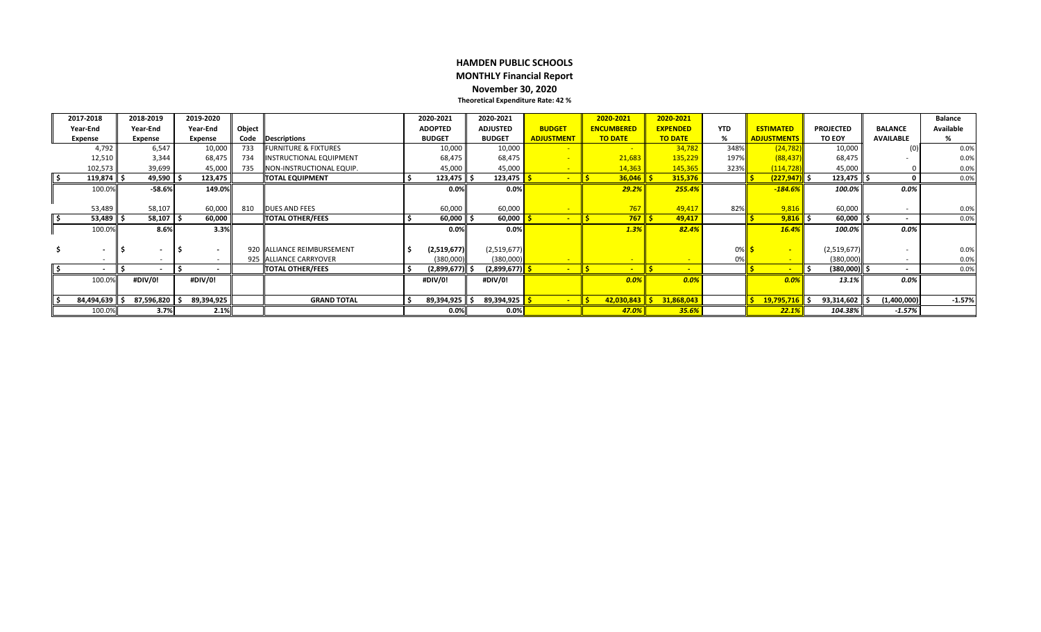### **HAMDEN PUBLIC SCHOOLS MONTHLY Financial Report November 30, 2020 Theoretical Expenditure Rate: 42 %**

|       | 2017-2018                | 2018-2019      | 2019-2020 |                          |        |                                 | 2020-2021      | 2020-2021                     |                   | 2020-2021                       | 2020-2021       |            |                            |                  |                          | <b>Balance</b> |
|-------|--------------------------|----------------|-----------|--------------------------|--------|---------------------------------|----------------|-------------------------------|-------------------|---------------------------------|-----------------|------------|----------------------------|------------------|--------------------------|----------------|
|       | Year-End                 | Year-End       | Year-End  |                          | Object |                                 | <b>ADOPTED</b> | <b>ADJUSTED</b>               | <b>BUDGET</b>     | <b>ENCUMBERED</b>               | <b>EXPENDED</b> | <b>YTD</b> | <b>ESTIMATED</b>           | <b>PROJECTED</b> | <b>BALANCE</b>           | Available      |
|       | <b>Expense</b>           | <b>Expense</b> | Expense   |                          | Code   | Descriptions                    | <b>BUDGET</b>  | <b>BUDGET</b>                 | <b>ADJUSTMENT</b> | <b>TO DATE</b>                  | <b>TO DATE</b>  | %          | <b>ADJUSTMENTS</b>         | <b>TO EOY</b>    | <b>AVAILABLE</b>         |                |
|       | 4,792                    | 6,547          |           | 10,000                   | 733    | <b>FURNITURE &amp; FIXTURES</b> | 10,000         | 10,000                        |                   |                                 | 34,782          | 348%       | (24, 782)                  | 10,000           | (0)                      | 0.0%           |
|       | 12,510                   | 3,344          |           | 68,475                   | 734    | INSTRUCTIONAL EQUIPMENT         | 68,475         | 68,475                        |                   | 21,683                          | 135,229         | 197%       | (88, 437)                  | 68,475           |                          | 0.0%           |
|       | 102,573                  | 39,699         |           | 45,000                   | 735    | NON-INSTRUCTIONAL EQUIP.        | 45,000         | 45,000                        |                   | 14,363                          | 145,365         | 323%       | (114, 728)                 | 45,000           |                          | 0.0%           |
| ll \$ | 119,874                  | 49,590         |           | 123,475                  |        | <b>TOTAL EQUIPMENT</b>          | 123,475        | 123,475 <mark>S</mark>        |                   | $36,046$ \$                     | 315,376         |            | $(227, 947)$ \$            | 123,475          |                          | 0.0%           |
|       | 100.0%                   | $-58.6%$       |           | 149.0%                   |        |                                 | 0.0%           | $0.0\%$                       |                   | 29.2%                           | 255.4%          |            | $-184.6%$                  | 100.0%           | 0.0%                     |                |
|       |                          |                |           |                          |        |                                 |                |                               |                   |                                 |                 |            |                            |                  |                          |                |
|       | 53,489                   | 58,107         |           | 60,000                   | 810    | <b>DUES AND FEES</b>            | 60,000         | 60,000                        |                   | 767                             | 49,417          | 82%        | 9,816                      | 60,000           |                          | 0.0%           |
| ll \$ | 53,489                   | 58,107         |           | 60,000                   |        | <b>TOTAL OTHER/FEES</b>         | 60,000         | 60,000 <mark>  \$</mark>      |                   | $767$ $\overline{\phantom{1}5}$ | 49,417          |            | $9,816$ \$                 | 60,000           |                          | 0.0%           |
|       | 100.0%                   | 8.6%           |           | 3.3%                     |        |                                 | 0.0%           | $0.0\%$                       |                   | 1.3%                            | 82.4%           |            | 16.4%                      | 100.0%           | 0.0%                     |                |
|       |                          |                |           |                          |        |                                 |                |                               |                   |                                 |                 |            |                            |                  |                          |                |
|       | . .                      |                |           | $\overline{\phantom{0}}$ |        | 920 ALLIANCE REIMBURSEMENT      | (2,519,677)    | (2,519,677)                   |                   |                                 |                 | 0%         |                            | (2,519,677)      |                          | 0.0%           |
|       |                          |                |           |                          |        | 925 ALLIANCE CARRYOVER          | (380,000)      | (380,000)                     |                   |                                 |                 |            |                            | (380,000)        |                          | 0.0%           |
| ۱\$   | $\overline{\phantom{a}}$ |                |           |                          |        | <b>TOTAL OTHER/FEES</b>         | (2,899,677)    | (2,899,677) <mark>  \$</mark> |                   |                                 |                 |            |                            | $(380,000)$ $ $  | $\overline{\phantom{a}}$ | 0.0%           |
|       | 100.0%                   | #DIV/0!        | #DIV/0!   |                          |        |                                 | #DIV/0!        | #DIV/0!                       |                   | $0.0\%$                         | 0.0%            |            | 0.0%                       | 13.1%            | $0.0\%$                  |                |
|       |                          |                |           |                          |        |                                 |                |                               |                   |                                 |                 |            |                            |                  |                          |                |
|       | 84,494,639               | 87,596,820     |           | 89,394,925               |        | <b>GRAND TOTAL</b>              | 89,394,925     | 89,394,925 <mark>  \$</mark>  |                   | $142,030,843$ $\frac{6}{5}$     | 31,868,043      |            | <mark>19,795,716</mark> \$ | 93,314,602       | (1,400,000)              | $-1.57%$       |
|       | 100.0%                   | 3.7%           |           | 2.1%                     |        |                                 | 0.0%           | $0.0\%$                       |                   | 47.0%                           | 35.6%           |            | 22.1%                      | 104.38%          | $-1.57%$                 |                |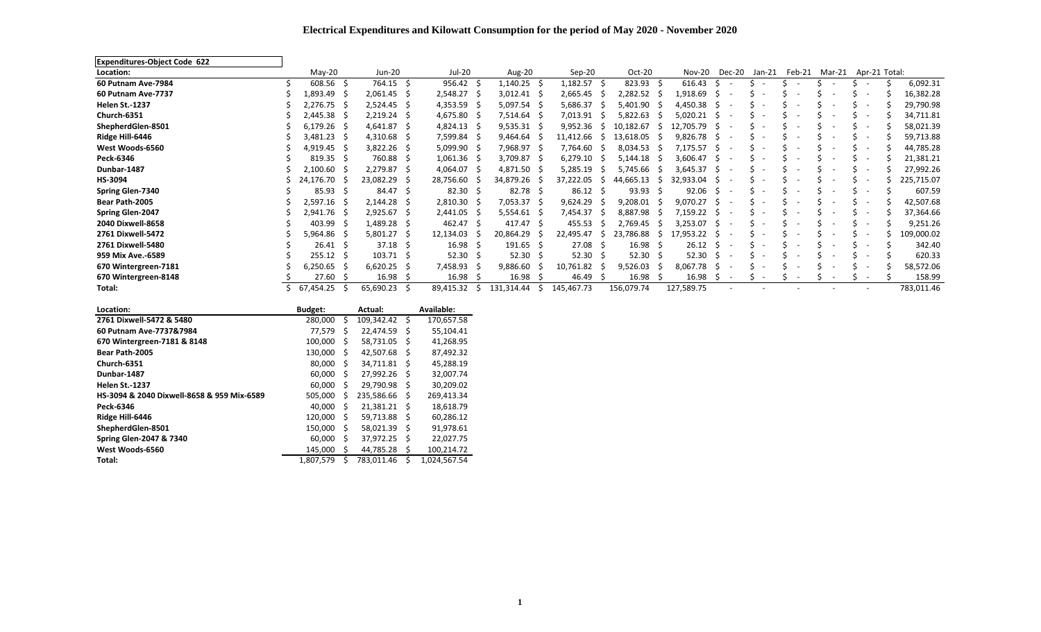## **Electrical Expenditures and Kilowatt Consumption for the period of May 2020 - November 2020**

| <b>Expenditures-Object Code 622</b> |                   |                   |     |                    |            |               |                 |     |                    |     |               |                                |        |                          |                          |                          |  |            |
|-------------------------------------|-------------------|-------------------|-----|--------------------|------------|---------------|-----------------|-----|--------------------|-----|---------------|--------------------------------|--------|--------------------------|--------------------------|--------------------------|--|------------|
| Location:                           | $M$ ay-20         | Jun-20            |     | Jul-20             | Aug-20     |               | $Sep-20$        |     | Oct-20             |     | Nov-20        | Dec-20                         | Jan-21 | Feb-21                   | Mar-21                   | Apr-21 Total:            |  |            |
| 60 Putnam Ave-7984                  | $608.56$ \$       | 764.15 \$         |     | 956.42             | 1,140.25   |               | 1,182.57        |     | $823.93$ \$        |     | 616.43        | -S                             |        | $\overline{\phantom{a}}$ |                          |                          |  | 6,092.31   |
| 60 Putnam Ave-7737                  | 1,893.49 \$       | $2,061.45$ \$     |     | $2,548.27$ \$      | 3,012.41   |               | 2,665.45        | - 5 | 2,282.52 \$        |     | 1,918.69      | -S                             |        |                          |                          | $\overline{\phantom{0}}$ |  | 16,382.28  |
| <b>Helen St.-1237</b>               | 2,276.75 \$       | $2,524.45$ \$     |     | $4,353.59$ \$      | 5,097.54   |               | 5,686.37        |     | 5,401.90 \$        |     | 4,450.38      | -S                             |        |                          |                          | $\overline{\phantom{a}}$ |  | 29,790.98  |
| Church-6351                         | 2,445.38 \$       | 2,219.24          | - S | 4,675.80           | 7,514.64   |               | 7,013.91        |     | 5,822.63           |     | 5,020.21      | S                              |        |                          |                          | $\sim$                   |  | 34,711.81  |
| ShepherdGlen-8501                   | $6,179.26$ \$     | $4,641.87$ \$     |     | $4,824.13$ \$      | 9,535.31   |               | 9,952.36        | -5  | 10,182.67          | -5  | 12.705.79     | -S                             |        |                          |                          | $\overline{\phantom{a}}$ |  | 58,021.39  |
| Ridge Hill-6446                     | $3,481.23$ \$     | $4,310.68$ \$     |     | 7,599.84 \$        | 9,464.64   |               | 11,412.66       |     | 13,618.05          |     | 9,826.78      | -S                             |        |                          |                          | $\overline{\phantom{0}}$ |  | 59,713.88  |
| West Woods-6560                     | 4,919.45 \$       | $3,822.26$ \$     |     | 5,099.90 \$        | 7,968.97   |               | 7,764.60        | -5  | 8,034.53           | - S | 7,175.57      | -S                             |        |                          |                          | $\overline{\phantom{0}}$ |  | 44,785.28  |
| Peck-6346                           | $819.35 \quad $$  | 760.88 \$         |     | $1,061.36$ \$      | 3,709.87   |               | 6,279.10        |     | 5,144.18           | - S | 3,606.47      | - S                            |        |                          |                          | $\sim$                   |  | 21,381.21  |
| Dunbar-1487                         | 2,100.60 \$       | 2,279.87 \$       |     | 4,064.07 \$        | 4,871.50   |               | 5,285.19        |     | 5,745.66           | - 5 | 3,645.37      | -S                             |        |                          |                          | $\overline{\phantom{0}}$ |  | 27,992.26  |
| HS-3094                             | 24,176.70 \$      | 23,082.29 \$      |     | 28,756.60          | 34,879.26  |               | 37,222.05       | -5  | 44,665.13          | -S  | 32,933.04     |                                |        |                          |                          | $\overline{\phantom{0}}$ |  | 225,715.07 |
| <b>Spring Glen-7340</b>             | $85.93 \quad$ \$  | 84.47 \$          |     | $82.30 \quad $$    | 82.78      |               | $86.12 \quad$   |     | $93.93 \quad $5$   |     | 92.06         | -S<br>$\overline{\phantom{a}}$ |        |                          | $\overline{\phantom{0}}$ | $\overline{\phantom{a}}$ |  | 607.59     |
| Bear Path-2005                      | 2,597.16 \$       | $2,144.28$ \$     |     | $2,810.30$ \$      | 7,053.37   |               | 9,624.29        |     | $9,208.01$ \$      |     | $9,070.27$ \$ |                                |        |                          |                          | $\overline{\phantom{0}}$ |  | 42,507.68  |
| Spring Glen-2047                    | 2,941.76 \$       | 2,925.67          | - S | $2,441.05$ \$      | 5,554.61   |               | 7,454.37        |     | 8,887.98 \$        |     | 7,159.22      | -S                             |        |                          |                          |                          |  | 37,364.66  |
| 2040 Dixwell-8658                   | 403.99 \$         | 1,489.28 \$       |     | 462.47             | 417.47     |               | 455.53          |     | 2,769.45           | - S | 3,253.07      | -S                             |        |                          |                          | $\overline{\phantom{0}}$ |  | 9,251.26   |
| 2761 Dixwell-5472                   | 5,964.86 \$       | $5,801.27$ \$     |     | 12,134.03          | 20,864.29  |               | 22,495.47       | -5  | 23,786.88          | 5   | 17,953.22     |                                |        |                          |                          | $\overline{\phantom{a}}$ |  | 109,000.02 |
| 2761 Dixwell-5480                   | $26.41 \quad$ \$  | $37.18 \quad$ \$  |     | 16.98 <sup>5</sup> | 191.65     | -S            | 27.08           | -S  | 16.98 <sup>5</sup> |     | 26.12         | -S                             |        |                          |                          |                          |  | 342.40     |
| 959 Mix Ave.-6589                   | $255.12 \quad$ \$ | $103.71 \quad$ \$ |     | $52.30 \quad $$    | 52.30      |               | $52.30 \quad $$ |     | $52.30 \quad $$    |     | 52.30         | -S                             |        |                          |                          | $\overline{\phantom{0}}$ |  | 620.33     |
| 670 Wintergreen-7181                | $6,250.65$ \$     | $6,620.25$ \$     |     | 7,458.93           | 9,886.60   |               | 10,761.82       |     | 9,526.03           |     | $8,067.78$ \$ |                                |        |                          |                          | $\overline{\phantom{0}}$ |  | 58,572.06  |
| 670 Wintergreen-8148                | $27.60 \quad $$   | 16.98             | - S | 16.98              | 16.98      |               | 46.49           |     | 16.98              |     | 16.98         | -S                             |        |                          |                          |                          |  | 158.99     |
| Total:                              | 67,454.25         | 65,690.23 \$      |     | 89,415.32          | 131,314.44 | $\mathcal{L}$ | 145,467.73      |     | 156,079.74         |     | 127,589.75    |                                |        |                          |                          |                          |  | 783,011.46 |

| Location:                                  | <b>Budget:</b> |    | Actual:    |    | Available:   |
|--------------------------------------------|----------------|----|------------|----|--------------|
| 2761 Dixwell-5472 & 5480                   | 280,000        | Ś  | 109,342.42 | \$ | 170,657.58   |
| 60 Putnam Ave-7737&7984                    | 77.579         | Ś  | 22,474.59  | S  | 55,104.41    |
| 670 Wintergreen-7181 & 8148                | 100.000        | Ś  | 58.731.05  | S  | 41.268.95    |
| Bear Path-2005                             | 130,000        | S  | 42,507.68  | S  | 87,492.32    |
| Church-6351                                | 80.000         | Ŝ. | 34.711.81  | S  | 45,288.19    |
| Dunbar-1487                                | 60,000         | S  | 27,992.26  | S  | 32,007.74    |
| <b>Helen St.-1237</b>                      | 60,000         | Ś  | 29,790.98  | S  | 30,209.02    |
| HS-3094 & 2040 Dixwell-8658 & 959 Mix-6589 | 505.000        | Ś  | 235.586.66 | S  | 269.413.34   |
| Peck-6346                                  | 40.000         | Ś  | 21.381.21  | S  | 18,618.79    |
| Ridge Hill-6446                            | 120,000        | Ś  | 59,713.88  | Ŝ  | 60,286.12    |
| ShepherdGlen-8501                          | 150,000        | Ś  | 58,021.39  | S  | 91,978.61    |
| <b>Spring Glen-2047 &amp; 7340</b>         | 60.000         | Ś  | 37,972.25  | Ŝ  | 22,027.75    |
| West Woods-6560                            | 145,000        | \$ | 44.785.28  | S  | 100,214.72   |
| Total:                                     | 1.807.579      | Ś  | 783.011.46 | Ś  | 1.024.567.54 |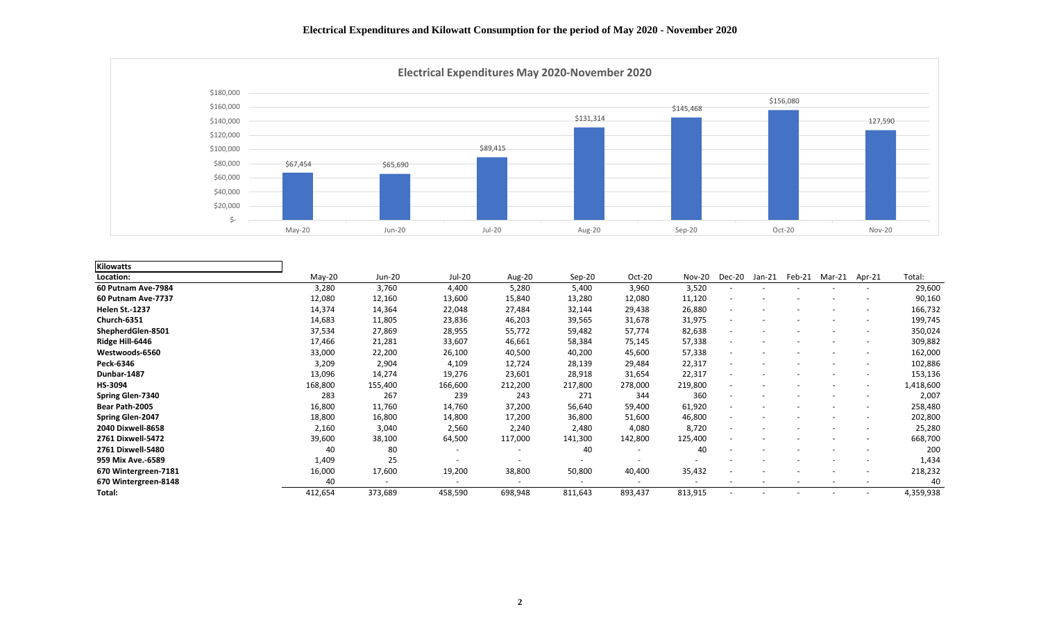

| <b>Kilowatts</b>        |          |                          |         |                          |          |         |               |                          |          |        |        |                          |           |
|-------------------------|----------|--------------------------|---------|--------------------------|----------|---------|---------------|--------------------------|----------|--------|--------|--------------------------|-----------|
| Location:               | $Mav-20$ | Jun-20                   | Jul-20  | Aug-20                   | $Sep-20$ | Oct-20  | <b>Nov-20</b> | Dec-20                   | $Jan-21$ | Feb-21 | Mar-21 | Apr-21                   | Total:    |
| 60 Putnam Ave-7984      | 3,280    | 3,760                    | 4,400   | 5,280                    | 5,400    | 3,960   | 3,520         | $\overline{\phantom{a}}$ |          |        |        | $\overline{\phantom{a}}$ | 29,600    |
| 60 Putnam Ave-7737      | 12,080   | 12,160                   | 13,600  | 15,840                   | 13,280   | 12,080  | 11,120        |                          |          |        |        |                          | 90,160    |
| <b>Helen St.-1237</b>   | 14,374   | 14,364                   | 22,048  | 27,484                   | 32,144   | 29,438  | 26,880        |                          |          |        |        |                          | 166,732   |
| Church-6351             | 14,683   | 11,805                   | 23,836  | 46,203                   | 39,565   | 31,678  | 31,975        |                          |          |        |        |                          | 199,745   |
| ShepherdGlen-8501       | 37,534   | 27,869                   | 28,955  | 55,772                   | 59,482   | 57,774  | 82,638        |                          |          |        |        |                          | 350,024   |
| Ridge Hill-6446         | 17,466   | 21,281                   | 33,607  | 46,661                   | 58,384   | 75,145  | 57,338        |                          |          |        |        |                          | 309,882   |
| Westwoods-6560          | 33,000   | 22,200                   | 26,100  | 40,500                   | 40,200   | 45,600  | 57,338        |                          |          |        |        |                          | 162,000   |
| Peck-6346               | 3,209    | 2,904                    | 4,109   | 12,724                   | 28,139   | 29,484  | 22,317        |                          |          |        |        | $\overline{\phantom{a}}$ | 102,886   |
| Dunbar-1487             | 13,096   | 14,274                   | 19,276  | 23,601                   | 28,918   | 31,654  | 22,317        |                          |          |        |        |                          | 153,136   |
| HS-3094                 | 168,800  | 155,400                  | 166,600 | 212,200                  | 217,800  | 278,000 | 219,800       |                          |          |        |        |                          | 1,418,600 |
| <b>Spring Glen-7340</b> | 283      | 267                      | 239     | 243                      | 271      | 344     | 360           | $\overline{\phantom{a}}$ |          |        |        | $\overline{\phantom{a}}$ | 2,007     |
| Bear Path-2005          | 16,800   | 11,760                   | 14,760  | 37,200                   | 56,640   | 59,400  | 61,920        |                          |          |        |        |                          | 258,480   |
| <b>Spring Glen-2047</b> | 18,800   | 16,800                   | 14,800  | 17,200                   | 36,800   | 51,600  | 46,800        |                          |          |        |        |                          | 202,800   |
| 2040 Dixwell-8658       | 2,160    | 3,040                    | 2,560   | 2,240                    | 2,480    | 4,080   | 8,720         |                          |          |        |        |                          | 25,280    |
| 2761 Dixwell-5472       | 39,600   | 38,100                   | 64,500  | 117,000                  | 141,300  | 142,800 | 125,400       |                          |          |        |        |                          | 668,700   |
| 2761 Dixwell-5480       | 40       | 80                       |         |                          | 40       |         | 40            |                          |          |        |        |                          | 200       |
| 959 Mix Ave.-6589       | 1,409    | 25                       |         |                          |          |         |               |                          |          |        |        |                          | 1,434     |
| 670 Wintergreen-7181    | 16,000   | 17,600                   | 19,200  | 38,800                   | 50,800   | 40,400  | 35,432        |                          |          |        |        | $\overline{\phantom{a}}$ | 218,232   |
| 670 Wintergreen-8148    | 40       | $\overline{\phantom{a}}$ |         | $\overline{\phantom{a}}$ |          |         |               |                          |          |        |        | $\overline{\phantom{a}}$ | 40        |
| Total:                  | 412,654  | 373,689                  | 458,590 | 698,948                  | 811,643  | 893,437 | 813,915       |                          |          |        |        | $\overline{\phantom{a}}$ | 4,359,938 |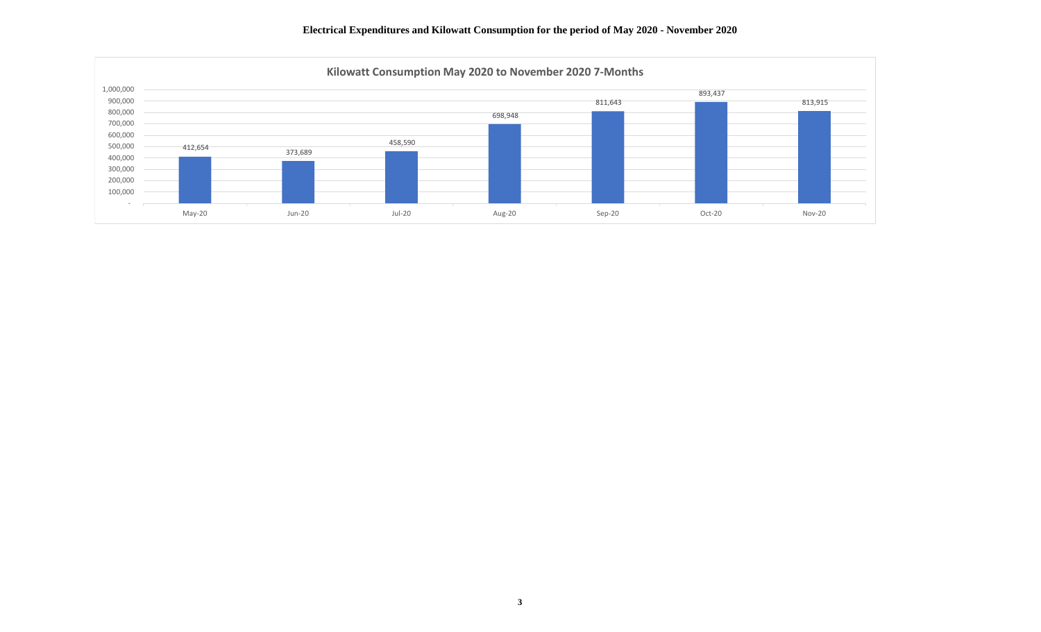

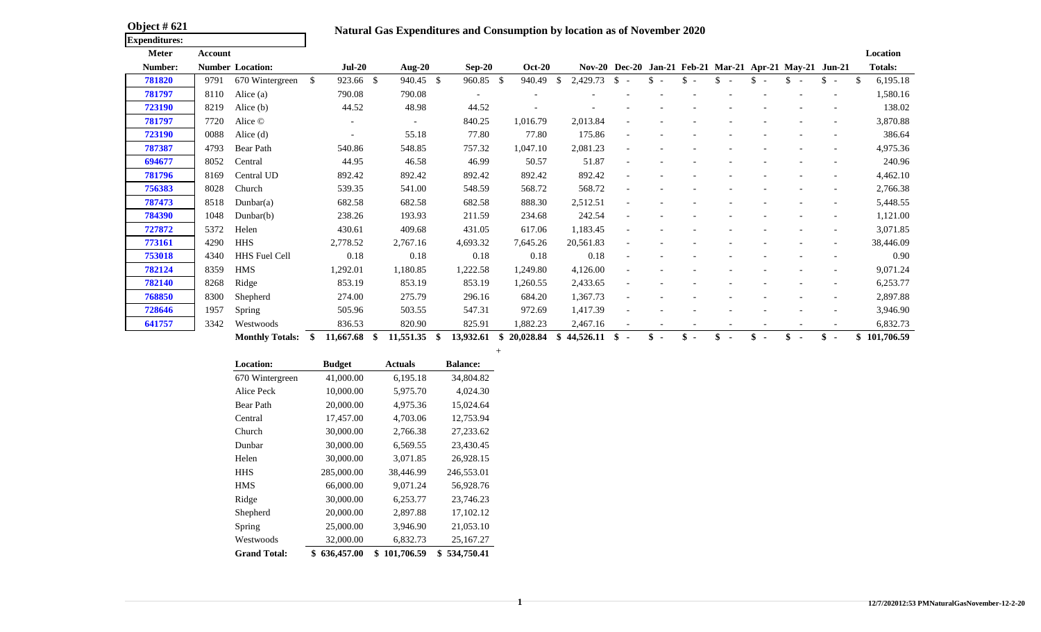| <b>Object # 621</b>  |  |
|----------------------|--|
| <b>Expenditures:</b> |  |

## Natural Gas Expenditures and Consumption by location as of November 2020

| <b>Meter</b>   | Account |                         |              |                      |                 |                          |               |               |                                |                                           |                                 |                          |    |                       |                                                         |                          | Location             |
|----------------|---------|-------------------------|--------------|----------------------|-----------------|--------------------------|---------------|---------------|--------------------------------|-------------------------------------------|---------------------------------|--------------------------|----|-----------------------|---------------------------------------------------------|--------------------------|----------------------|
| <b>Number:</b> |         | <b>Number Location:</b> |              | $Jul-20$             | Aug-20          | $Sep-20$                 | <b>Oct-20</b> |               |                                |                                           |                                 |                          |    |                       | Nov-20 Dec-20 Jan-21 Feb-21 Mar-21 Apr-21 May-21 Jun-21 |                          | <b>Totals:</b>       |
| 781820         | 9791    | 670 Wintergreen         | <sup>S</sup> | 923.66 \$            | 940.45 \$       | 960.85 \$                | 940.49        | <sup>\$</sup> | 2,429.73                       | <sup>\$</sup><br>$\overline{\phantom{0}}$ | \$.<br>$\overline{\phantom{0}}$ | $\overline{\phantom{a}}$ | S. | \$.<br>$\overline{a}$ |                                                         | <sup>S</sup><br>$\sim$   | 6,195.18             |
| 781797         | 8110    | Alice $(a)$             |              | 790.08               | 790.08          |                          |               |               |                                |                                           |                                 |                          |    |                       |                                                         |                          | 1,580.16             |
| 723190         | 8219    | Alice (b)               |              | 44.52                | 48.98           | 44.52                    |               |               |                                |                                           |                                 |                          |    |                       |                                                         |                          | 138.02               |
| 781797         | 7720    | Alice ©                 |              |                      |                 | 840.25                   | 1,016.79      |               | 2,013.84                       |                                           |                                 |                          |    |                       |                                                         |                          | 3,870.88             |
| 723190         | 0088    | Alice $(d)$             |              |                      | 55.18           | 77.80                    | 77.80         |               | 175.86                         |                                           |                                 |                          |    |                       |                                                         |                          | 386.64               |
| 787387         | 4793    | Bear Path               |              | 540.86               | 548.85          | 757.32                   | 1,047.10      |               | 2,081.23                       |                                           |                                 |                          |    |                       |                                                         |                          | 4,975.36             |
| 694677         | 8052    | Central                 |              | 44.95                | 46.58           | 46.99                    | 50.57         |               | 51.87                          |                                           |                                 |                          |    |                       |                                                         |                          | 240.96               |
| 781796         | 8169    | Central UD              |              | 892.42               | 892.42          | 892.42                   | 892.42        |               | 892.42                         |                                           |                                 |                          |    |                       |                                                         |                          | 4,462.10             |
| 756383         | 8028    | Church                  |              | 539.35               | 541.00          | 548.59                   | 568.72        |               | 568.72                         |                                           |                                 |                          |    |                       |                                                         | $\overline{\phantom{a}}$ | 2,766.38             |
| 787473         | 8518    | Dunbar(a)               |              | 682.58               | 682.58          | 682.58                   | 888.30        |               | 2,512.51                       |                                           |                                 |                          |    |                       |                                                         |                          | 5,448.55             |
| 784390         | 1048    | Dunbar(b)               |              | 238.26               | 193.93          | 211.59                   | 234.68        |               | 242.54                         |                                           |                                 |                          |    |                       |                                                         |                          | 1,121.00             |
| 727872         | 5372    | Helen                   |              | 430.61               | 409.68          | 431.05                   | 617.06        |               | 1,183.45                       |                                           |                                 |                          |    |                       |                                                         |                          | 3,071.85             |
| 773161         | 4290    | <b>HHS</b>              |              | 2,778.52             | 2,767.16        | 4,693.32                 | 7,645.26      |               | 20,561.83                      |                                           |                                 |                          |    |                       |                                                         |                          | 38,446.09            |
| 753018         | 4340    | HHS Fuel Cell           |              | 0.18                 | 0.18            | 0.18                     | 0.18          |               | 0.18                           |                                           |                                 |                          |    |                       |                                                         |                          | 0.90                 |
| 782124         | 8359    | <b>HMS</b>              |              | 1,292.01             | 1,180.85        | 1,222.58                 | 1,249.80      |               | 4,126.00                       |                                           |                                 |                          |    |                       |                                                         |                          | 9,071.24             |
| 782140         | 8268    | Ridge                   |              | 853.19               | 853.19          | 853.19                   | 1,260.55      |               | 2,433.65                       |                                           |                                 |                          |    |                       |                                                         |                          | 6,253.77             |
| 768850         | 8300    | Shepherd                |              | 274.00               | 275.79          | 296.16                   | 684.20        |               | 1,367.73                       |                                           |                                 |                          |    |                       |                                                         |                          | 2,897.88             |
| 728646         | 1957    | Spring                  |              | 505.96               | 503.55          | 547.31                   | 972.69        |               | 1,417.39                       |                                           |                                 |                          |    |                       |                                                         |                          | 3,946.90             |
| 641757         | 3342    | Westwoods               |              | 836.53               | 820.90          | 825.91                   | 1,882.23      |               | 2,467.16                       |                                           |                                 |                          |    |                       |                                                         |                          | 6,832.73             |
|                |         | $M = 41.1 - 70.4 - 1$   | ሐ            | $11 / 77 / 0$ $\phi$ | - 11 FF1 9F - 0 | $12.022 \times 10000000$ |               |               | $\phi$ <i>AA FAC</i> 11 $\phi$ |                                           | ሐ                               | ሐ                        | ሐ  | $\triangle$           | $\triangle$                                             | ሐ                        | <u>ል። 101 506 50</u> |

+

| Monthly Totals: \$ 11.667.68 \$ 11.551.35 \$ 1 |  |  | 13.932.61 | \$20.028.84 | 4 \$44,526.11 \$ - \$ - \$ - \$ - \$ - \$ - \$ - |  |  |  |  |  |  |  | 101.706.59 |
|------------------------------------------------|--|--|-----------|-------------|--------------------------------------------------|--|--|--|--|--|--|--|------------|
|------------------------------------------------|--|--|-----------|-------------|--------------------------------------------------|--|--|--|--|--|--|--|------------|

| <b>Location:</b>    | <b>Budget</b>    | <b>Actuals</b>   | <b>Balance:</b>  |
|---------------------|------------------|------------------|------------------|
| 670 Wintergreen     | 41,000.00        | 6,195.18         | 34,804.82        |
| Alice Peck          | 10,000.00        | 5,975.70         | 4,024.30         |
| Bear Path           | 20,000.00        | 4,975.36         | 15,024.64        |
| Central             | 17,457.00        | 4,703.06         | 12,753.94        |
| Church              | 30,000.00        | 2,766.38         | 27,233.62        |
| Dunbar              | 30,000.00        | 6,569.55         | 23,430.45        |
| Helen               | 30,000.00        | 3,071.85         | 26,928.15        |
| <b>HHS</b>          | 285,000.00       | 38,446.99        | 246,553.01       |
| <b>HMS</b>          | 66,000.00        | 9,071.24         | 56,928.76        |
| Ridge               | 30,000.00        | 6,253.77         | 23,746.23        |
| Shepherd            | 20,000.00        | 2,897.88         | 17,102.12        |
| Spring              | 25,000.00        | 3,946.90         | 21,053.10        |
| Westwoods           | 32,000.00        | 6,832.73         | 25,167.27        |
| <b>Grand Total:</b> | 636,457.00<br>\$ | \$<br>101,706.59 | 534,750.41<br>\$ |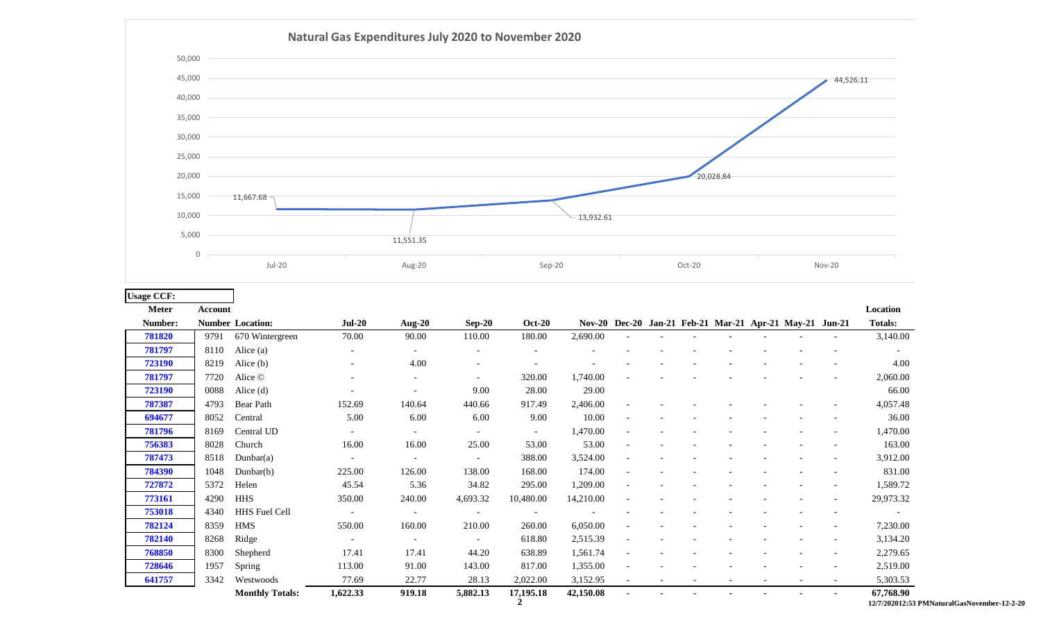

| <b>Usage CCF:</b> |         |                         |                          |        |                          |                          |           |  |  |                                                         |                          |                             |
|-------------------|---------|-------------------------|--------------------------|--------|--------------------------|--------------------------|-----------|--|--|---------------------------------------------------------|--------------------------|-----------------------------|
| <b>Meter</b>      | Account |                         |                          |        |                          |                          |           |  |  |                                                         |                          | Location                    |
| Number:           |         | <b>Number Location:</b> | $Jul-20$                 | Aug-20 | $Sep-20$                 | <b>Oct-20</b>            |           |  |  | Nov-20 Dec-20 Jan-21 Feb-21 Mar-21 Apr-21 May-21 Jun-21 |                          | <b>Totals:</b>              |
| 781820            | 9791    | 670 Wintergreen         | 70.00                    | 90.00  | 110.00                   | 180.00                   | 2,690.00  |  |  |                                                         |                          | 3,140.00                    |
| 781797            | 8110    | Alice (a)               |                          |        |                          |                          |           |  |  |                                                         |                          | $\overline{\phantom{a}}$    |
| 723190            | 8219    | Alice $(b)$             |                          | 4.00   |                          |                          |           |  |  |                                                         |                          | 4.00                        |
| 781797            | 7720    | Alice ©                 |                          |        | $\overline{\phantom{a}}$ | 320.00                   | 1,740.00  |  |  |                                                         |                          | 2,060.00                    |
| 723190            | 0088    | Alice $(d)$             |                          |        | 9.00                     | 28.00                    | 29.00     |  |  |                                                         |                          | 66.00                       |
| 787387            | 4793    | Bear Path               | 152.69                   | 140.64 | 440.66                   | 917.49                   | 2,406.00  |  |  |                                                         |                          | 4,057.48                    |
| 694677            | 8052    | Central                 | 5.00                     | 6.00   | 6.00                     | 9.00                     | 10.00     |  |  |                                                         |                          | 36.00                       |
| 781796            | 8169    | Central UD              |                          |        |                          | $\sim$                   | 1,470.00  |  |  |                                                         |                          | 1,470.00                    |
| 756383            | 8028    | Church                  | 16.00                    | 16.00  | 25.00                    | 53.00                    | 53.00     |  |  |                                                         |                          | 163.00                      |
| 787473            | 8518    | Dunbar(a)               | $\overline{\phantom{a}}$ |        | $\overline{\phantom{a}}$ | 388.00                   | 3,524.00  |  |  |                                                         |                          | 3,912.00                    |
| 784390            | 1048    | Dunbar $(b)$            | 225.00                   | 126.00 | 138.00                   | 168.00                   | 174.00    |  |  |                                                         |                          | 831.00                      |
| 727872            | 5372    | Helen                   | 45.54                    | 5.36   | 34.82                    | 295.00                   | 1,209.00  |  |  |                                                         |                          | 1,589.72                    |
| 773161            | 4290    | HHS                     | 350.00                   | 240.00 | 4,693.32                 | 10,480.00                | 14,210.00 |  |  |                                                         |                          | 29,973.32                   |
| 753018            | 4340    | HHS Fuel Cell           |                          |        | $\overline{\phantom{a}}$ | $\overline{\phantom{a}}$ |           |  |  |                                                         |                          | $\sim$                      |
| 782124            | 8359    | HMS                     | 550.00                   | 160.00 | 210.00                   | 260.00                   | 6,050.00  |  |  |                                                         |                          | 7,230.00                    |
| 782140            | 8268    | Ridge                   |                          |        |                          | 618.80                   | 2,515.39  |  |  |                                                         |                          | 3,134.20                    |
| 768850            | 8300    | Shepherd                | 17.41                    | 17.41  | 44.20                    | 638.89                   | 1,561.74  |  |  |                                                         |                          | 2,279.65                    |
| 728646            | 1957    | Spring                  | 113.00                   | 91.00  | 143.00                   | 817.00                   | 1,355.00  |  |  |                                                         |                          | 2,519.00                    |
| 641757            | 3342    | Westwoods               | 77.69                    | 22.77  | 28.13                    | 2,022.00                 | 3,152.95  |  |  |                                                         | $\overline{\phantom{a}}$ | 5,303.53                    |
|                   |         | <b>Monthly Totals:</b>  | 1,622.33                 | 919.18 | 5,882.13                 | 17,195.18                | 42,150.08 |  |  |                                                         |                          | 67,768.90<br>12/7/202012:53 |

**2 12/7/202012:53 PMNaturalGasNovember-12-2-20**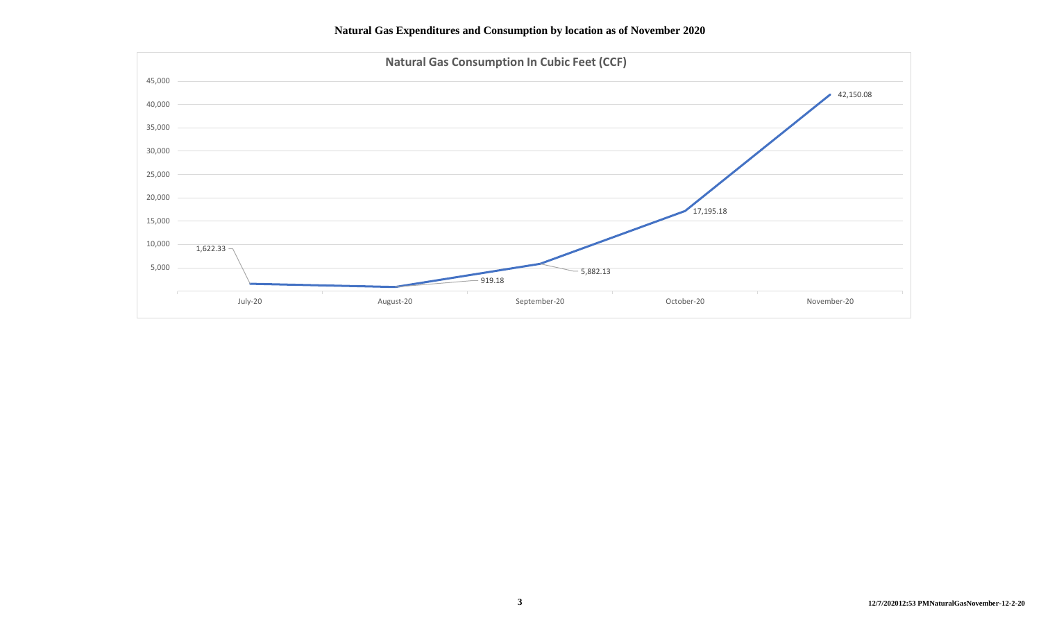**Natural Gas Expenditures and Consumption by location as of November 2020**

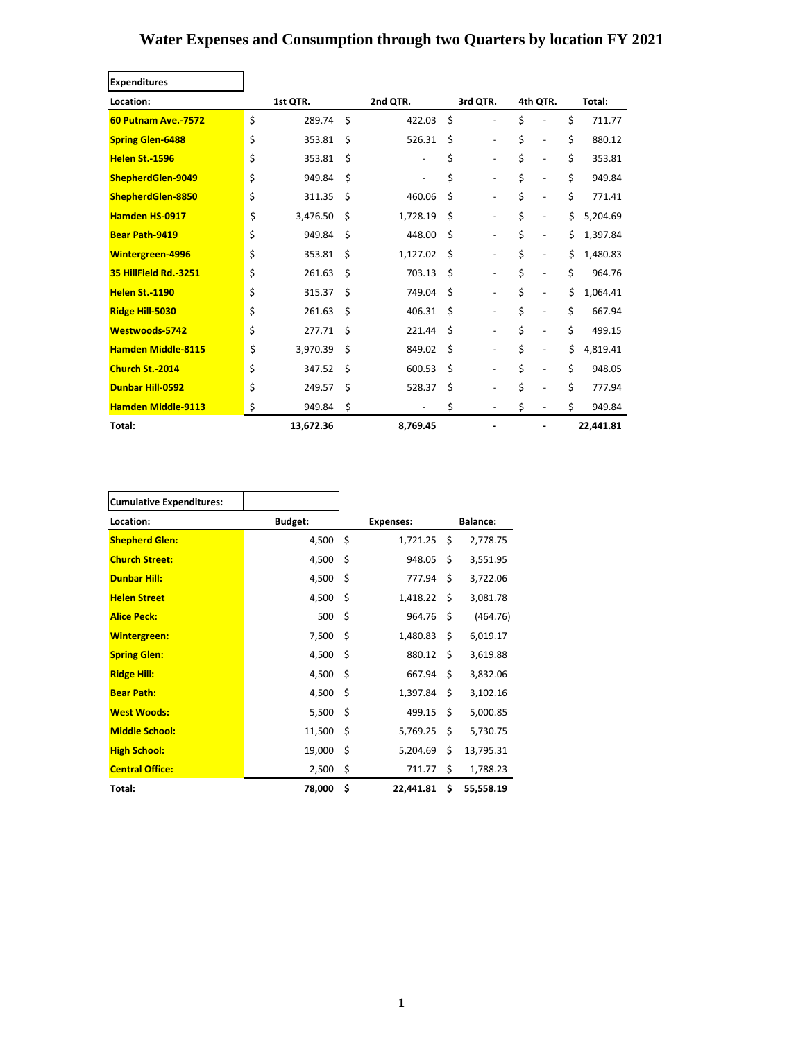# **Water Expenses and Consumption through two Quarters by location FY 2021**

| <b>Expenditures</b>        |          |           |     |          |          |                          |                                    |        |           |  |
|----------------------------|----------|-----------|-----|----------|----------|--------------------------|------------------------------------|--------|-----------|--|
| Location:                  | 1st QTR. |           |     | 2nd QTR. | 3rd QTR. |                          | 4th QTR.                           | Total: |           |  |
| <b>60 Putnam Ave. 7572</b> | \$       | 289.74    | Ś.  | 422.03   | Ś        |                          | \$                                 | \$     | 711.77    |  |
| <b>Spring Glen-6488</b>    | \$       | 353.81    | Ś.  | 526.31   | Ś.       | $\overline{\phantom{a}}$ | \$<br>$\qquad \qquad \blacksquare$ | \$     | 880.12    |  |
| <b>Helen St.-1596</b>      | \$       | 353.81    | Ś.  |          | \$       | $\overline{\phantom{a}}$ | \$<br>$\overline{\phantom{a}}$     | \$     | 353.81    |  |
| ShepherdGlen-9049          | \$       | 949.84    | \$  |          | \$       | $\overline{\phantom{a}}$ | \$<br>$\overline{\phantom{a}}$     | \$     | 949.84    |  |
| ShepherdGlen-8850          | \$       | 311.35    | \$  | 460.06   | Ś.       |                          | \$<br>$\overline{a}$               | \$     | 771.41    |  |
| <b>Hamden HS-0917</b>      | \$       | 3,476.50  | \$  | 1,728.19 | \$       |                          | \$                                 | \$     | 5,204.69  |  |
| <b>Bear Path-9419</b>      | \$       | 949.84    | \$  | 448.00   | Ś.       |                          | \$<br>$\overline{\phantom{0}}$     | Ś      | 1,397.84  |  |
| <b>Wintergreen-4996</b>    | \$       | 353.81    | \$  | 1,127.02 | Ś        |                          | \$<br>$\overline{\phantom{a}}$     | Ś      | 1,480.83  |  |
| 35 HillField Rd. 3251      | \$       | 261.63    | \$  | 703.13   | Ś.       |                          | \$<br>$\overline{\phantom{a}}$     | \$     | 964.76    |  |
| <b>Helen St.-1190</b>      | \$       | 315.37    | \$  | 749.04   | Ś.       |                          | \$<br>$\overline{\phantom{a}}$     | Ś      | 1,064.41  |  |
| Ridge Hill-5030            | \$       | 261.63    | Ś.  | 406.31   | Ś        |                          | \$<br>$\blacksquare$               | \$     | 667.94    |  |
| Westwoods-5742             | \$       | 277.71    | Ś   | 221.44   | Ś        |                          | \$<br>$\blacksquare$               | \$     | 499.15    |  |
| <b>Hamden Middle-8115</b>  | \$       | 3,970.39  | Ś.  | 849.02   | Ś        |                          | \$<br>$\overline{\phantom{a}}$     | \$     | 4,819.41  |  |
| Church St.-2014            | \$       | 347.52    | \$  | 600.53   | Ś.       |                          | \$<br>$\overline{\phantom{a}}$     | \$     | 948.05    |  |
| <b>Dunbar Hill-0592</b>    | \$       | 249.57    | Ś   | 528.37   | Ś.       |                          | \$<br>$\overline{\phantom{a}}$     | \$     | 777.94    |  |
| <b>Hamden Middle-9113</b>  | \$       | 949.84    | -\$ |          | \$       | $\overline{\phantom{a}}$ | \$<br>$\overline{\phantom{a}}$     | \$     | 949.84    |  |
| Total:                     |          | 13,672.36 |     | 8,769.45 |          |                          |                                    |        | 22,441.81 |  |

 $\overline{\phantom{0}}$ 

| <b>Cumulative Expenditures:</b> |                |                  |           |    |                 |
|---------------------------------|----------------|------------------|-----------|----|-----------------|
| Location:                       | <b>Budget:</b> | <b>Expenses:</b> |           |    | <b>Balance:</b> |
| <b>Shepherd Glen:</b>           | 4,500          | -\$              | 1,721.25  | Ŝ. | 2,778.75        |
| <b>Church Street:</b>           | 4,500          | \$               | 948.05    | \$ | 3,551.95        |
| <b>Dunbar Hill:</b>             | 4,500          | \$               | 777.94    | \$ | 3,722.06        |
| <b>Helen Street</b>             | 4,500          | -\$              | 1,418.22  | \$ | 3,081.78        |
| <b>Alice Peck:</b>              | 500            | Ś.               | 964.76    | Ś. | (464.76)        |
| <b>Wintergreen:</b>             | 7,500          | Ś                | 1,480.83  | \$ | 6,019.17        |
| <b>Spring Glen:</b>             | 4,500          | -\$              | 880.12    | \$ | 3,619.88        |
| <b>Ridge Hill:</b>              | 4,500          | Ś                | 667.94    | Ś. | 3,832.06        |
| <b>Bear Path:</b>               | 4,500          | -\$              | 1,397.84  | \$ | 3,102.16        |
| <b>West Woods:</b>              | 5,500          | -\$              | 499.15    | \$ | 5,000.85        |
| <b>Middle School:</b>           | 11,500         | Ś                | 5,769.25  | \$ | 5,730.75        |
| <b>High School:</b>             | 19,000         | Ś.               | 5,204.69  | \$ | 13,795.31       |
| <b>Central Office:</b>          | 2,500          | \$               | 711.77    | \$ | 1,788.23        |
| Total:                          | 78,000         | Ś                | 22,441.81 | \$ | 55,558.19       |